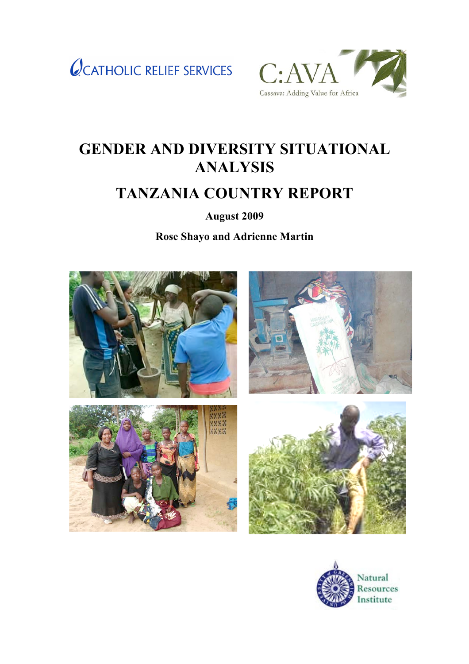



# **GENDER AND DIVERSITY SITUATIONAL ANALYSIS**

# **TANZANIA COUNTRY REPORT**

**August 2009**

**Rose Shayo and Adrienne Martin** 



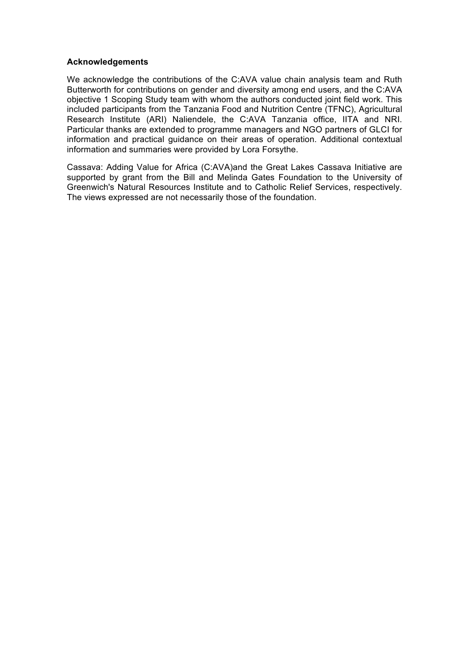#### **Acknowledgements**

We acknowledge the contributions of the C:AVA value chain analysis team and Ruth Butterworth for contributions on gender and diversity among end users, and the C:AVA objective 1 Scoping Study team with whom the authors conducted joint field work. This included participants from the Tanzania Food and Nutrition Centre (TFNC), Agricultural Research Institute (ARI) Naliendele, the C:AVA Tanzania office, IITA and NRI. Particular thanks are extended to programme managers and NGO partners of GLCI for information and practical guidance on their areas of operation. Additional contextual information and summaries were provided by Lora Forsythe.

Cassava: Adding Value for Africa (C:AVA)and the Great Lakes Cassava Initiative are supported by grant from the Bill and Melinda Gates Foundation to the University of Greenwich's Natural Resources Institute and to Catholic Relief Services, respectively. The views expressed are not necessarily those of the foundation.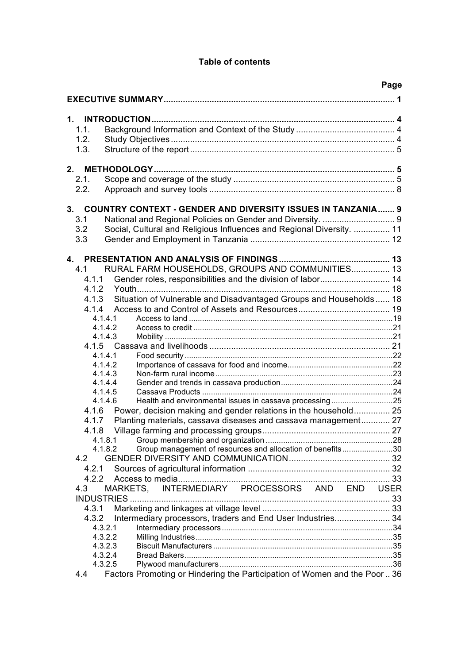# **Table of contents**

|                                                                                  | Page |
|----------------------------------------------------------------------------------|------|
|                                                                                  |      |
|                                                                                  |      |
|                                                                                  |      |
| 1.1.                                                                             |      |
| 1.2.                                                                             |      |
| 1.3.                                                                             |      |
|                                                                                  |      |
| 2.                                                                               |      |
| 2.1.                                                                             |      |
| 2.2.                                                                             |      |
|                                                                                  |      |
| <b>COUNTRY CONTEXT - GENDER AND DIVERSITY ISSUES IN TANZANIA 9</b><br>3.         |      |
| 3.1                                                                              |      |
| 3.2<br>Social, Cultural and Religious Influences and Regional Diversity.  11     |      |
| 3.3                                                                              |      |
|                                                                                  |      |
|                                                                                  |      |
| RURAL FARM HOUSEHOLDS, GROUPS AND COMMUNITIES 13<br>4.1                          |      |
| 4.1.1                                                                            |      |
| 4.1.2                                                                            |      |
| Situation of Vulnerable and Disadvantaged Groups and Households 18<br>4.1.3      |      |
| 4.1.4                                                                            |      |
| 4.1.4.1                                                                          |      |
| 4.1.4.2                                                                          |      |
| 4.1.4.3                                                                          |      |
| 4.1.5                                                                            |      |
| 4.1.4.1                                                                          |      |
| 4.1.4.2                                                                          |      |
| 4.1.4.3<br>4.1.4.4                                                               |      |
| 4.1.4.5                                                                          |      |
| Health and environmental issues in cassava processing25<br>4.1.4.6               |      |
| Power, decision making and gender relations in the household 25<br>4.1.6         |      |
| Planting materials, cassava diseases and cassava management 27<br>4.1.7          |      |
| 4.1.8                                                                            |      |
| 4.1.8.1                                                                          |      |
| Group management of resources and allocation of benefits30<br>4.1.8.2            |      |
| 4.2                                                                              |      |
| 4.2.1                                                                            |      |
| 4.2.2                                                                            |      |
| INTERMEDIARY PROCESSORS AND END USER<br>4.3<br><b>MARKETS.</b>                   |      |
|                                                                                  |      |
| 4.3.1                                                                            |      |
| Intermediary processors, traders and End User Industries 34<br>4.3.2             |      |
| 4.3.2.1                                                                          |      |
| 4.3.2.2                                                                          |      |
| 4.3.2.3                                                                          |      |
| 4.3.2.4                                                                          |      |
| 4.3.2.5                                                                          |      |
| Factors Promoting or Hindering the Participation of Women and the Poor 36<br>4.4 |      |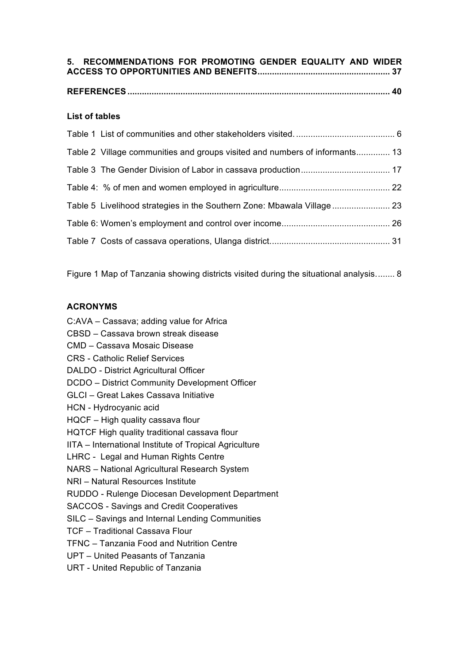| 5. RECOMMENDATIONS FOR PROMOTING GENDER EQUALITY AND WIDER |  |  |  |
|------------------------------------------------------------|--|--|--|
|                                                            |  |  |  |
|                                                            |  |  |  |

# **List of tables**

| Table 2 Village communities and groups visited and numbers of informants 13 |  |
|-----------------------------------------------------------------------------|--|
|                                                                             |  |
|                                                                             |  |
|                                                                             |  |
|                                                                             |  |
|                                                                             |  |

Figure 1 Map of Tanzania showing districts visited during the situational analysis........ 8

# **ACRONYMS**

- C:AVA Cassava; adding value for Africa
- CBSD Cassava brown streak disease
- CMD Cassava Mosaic Disease
- CRS Catholic Relief Services
- DALDO District Agricultural Officer
- DCDO District Community Development Officer
- GLCI Great Lakes Cassava Initiative
- HCN Hydrocyanic acid
- HQCF High quality cassava flour
- HQTCF High quality traditional cassava flour
- IITA International Institute of Tropical Agriculture
- LHRC Legal and Human Rights Centre
- NARS National Agricultural Research System
- NRI Natural Resources Institute
- RUDDO Rulenge Diocesan Development Department
- SACCOS Savings and Credit Cooperatives
- SILC Savings and Internal Lending Communities
- TCF Traditional Cassava Flour
- TFNC Tanzania Food and Nutrition Centre
- UPT United Peasants of Tanzania
- URT United Republic of Tanzania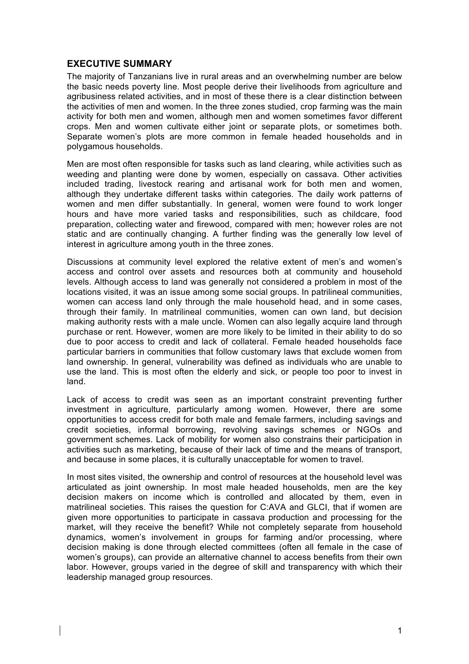## **EXECUTIVE SUMMARY**

The majority of Tanzanians live in rural areas and an overwhelming number are below the basic needs poverty line. Most people derive their livelihoods from agriculture and agribusiness related activities, and in most of these there is a clear distinction between the activities of men and women. In the three zones studied, crop farming was the main activity for both men and women, although men and women sometimes favor different crops. Men and women cultivate either joint or separate plots, or sometimes both. Separate women's plots are more common in female headed households and in polygamous households.

Men are most often responsible for tasks such as land clearing, while activities such as weeding and planting were done by women, especially on cassava. Other activities included trading, livestock rearing and artisanal work for both men and women, although they undertake different tasks within categories. The daily work patterns of women and men differ substantially. In general, women were found to work longer hours and have more varied tasks and responsibilities, such as childcare, food preparation, collecting water and firewood, compared with men; however roles are not static and are continually changing. A further finding was the generally low level of interest in agriculture among youth in the three zones.

Discussions at community level explored the relative extent of men's and women's access and control over assets and resources both at community and household levels. Although access to land was generally not considered a problem in most of the locations visited, it was an issue among some social groups. In patrilineal communities, women can access land only through the male household head, and in some cases, through their family. In matrilineal communities, women can own land, but decision making authority rests with a male uncle. Women can also legally acquire land through purchase or rent. However, women are more likely to be limited in their ability to do so due to poor access to credit and lack of collateral. Female headed households face particular barriers in communities that follow customary laws that exclude women from land ownership. In general, vulnerability was defined as individuals who are unable to use the land. This is most often the elderly and sick, or people too poor to invest in land.

Lack of access to credit was seen as an important constraint preventing further investment in agriculture, particularly among women. However, there are some opportunities to access credit for both male and female farmers, including savings and credit societies, informal borrowing, revolving savings schemes or NGOs and government schemes. Lack of mobility for women also constrains their participation in activities such as marketing, because of their lack of time and the means of transport, and because in some places, it is culturally unacceptable for women to travel.

In most sites visited, the ownership and control of resources at the household level was articulated as joint ownership. In most male headed households, men are the key decision makers on income which is controlled and allocated by them, even in matrilineal societies. This raises the question for C:AVA and GLCI, that if women are given more opportunities to participate in cassava production and processing for the market, will they receive the benefit? While not completely separate from household dynamics, women's involvement in groups for farming and/or processing, where decision making is done through elected committees (often all female in the case of women's groups), can provide an alternative channel to access benefits from their own labor. However, groups varied in the degree of skill and transparency with which their leadership managed group resources.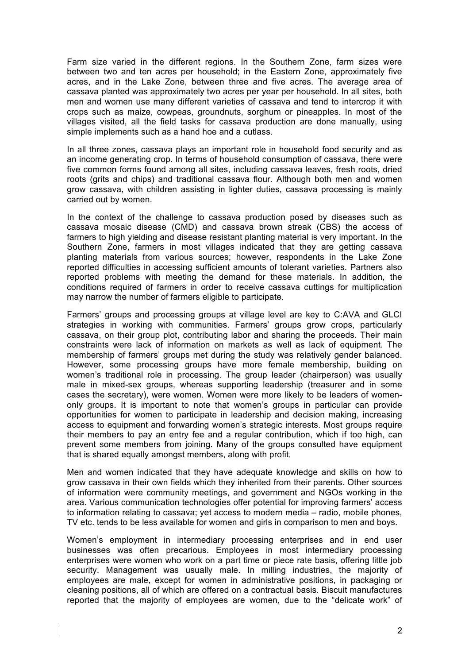Farm size varied in the different regions. In the Southern Zone, farm sizes were between two and ten acres per household; in the Eastern Zone, approximately five acres, and in the Lake Zone, between three and five acres. The average area of cassava planted was approximately two acres per year per household. In all sites, both men and women use many different varieties of cassava and tend to intercrop it with crops such as maize, cowpeas, groundnuts, sorghum or pineapples. In most of the villages visited, all the field tasks for cassava production are done manually, using simple implements such as a hand hoe and a cutlass.

In all three zones, cassava plays an important role in household food security and as an income generating crop. In terms of household consumption of cassava, there were five common forms found among all sites, including cassava leaves, fresh roots, dried roots (grits and chips) and traditional cassava flour. Although both men and women grow cassava, with children assisting in lighter duties, cassava processing is mainly carried out by women.

In the context of the challenge to cassava production posed by diseases such as cassava mosaic disease (CMD) and cassava brown streak (CBS) the access of farmers to high yielding and disease resistant planting material is very important. In the Southern Zone, farmers in most villages indicated that they are getting cassava planting materials from various sources; however, respondents in the Lake Zone reported difficulties in accessing sufficient amounts of tolerant varieties. Partners also reported problems with meeting the demand for these materials. In addition, the conditions required of farmers in order to receive cassava cuttings for multiplication may narrow the number of farmers eligible to participate.

Farmers' groups and processing groups at village level are key to C:AVA and GLCI strategies in working with communities. Farmers' groups grow crops, particularly cassava, on their group plot, contributing labor and sharing the proceeds. Their main constraints were lack of information on markets as well as lack of equipment. The membership of farmers' groups met during the study was relatively gender balanced. However, some processing groups have more female membership, building on women's traditional role in processing. The group leader (chairperson) was usually male in mixed-sex groups, whereas supporting leadership (treasurer and in some cases the secretary), were women. Women were more likely to be leaders of womenonly groups. It is important to note that women's groups in particular can provide opportunities for women to participate in leadership and decision making, increasing access to equipment and forwarding women's strategic interests. Most groups require their members to pay an entry fee and a regular contribution, which if too high, can prevent some members from joining. Many of the groups consulted have equipment that is shared equally amongst members, along with profit.

Men and women indicated that they have adequate knowledge and skills on how to grow cassava in their own fields which they inherited from their parents. Other sources of information were community meetings, and government and NGOs working in the area. Various communication technologies offer potential for improving farmers' access to information relating to cassava; yet access to modern media – radio, mobile phones, TV etc. tends to be less available for women and girls in comparison to men and boys.

Women's employment in intermediary processing enterprises and in end user businesses was often precarious. Employees in most intermediary processing enterprises were women who work on a part time or piece rate basis, offering little job security. Management was usually male. In milling industries, the majority of employees are male, except for women in administrative positions, in packaging or cleaning positions, all of which are offered on a contractual basis. Biscuit manufactures reported that the majority of employees are women, due to the "delicate work" of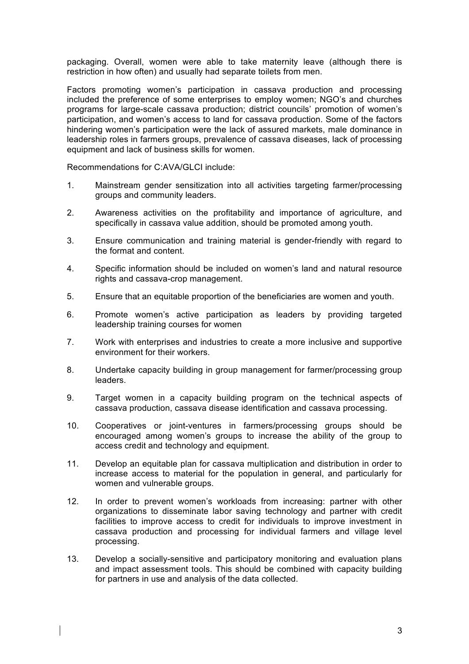packaging. Overall, women were able to take maternity leave (although there is restriction in how often) and usually had separate toilets from men.

Factors promoting women's participation in cassava production and processing included the preference of some enterprises to employ women; NGO's and churches programs for large-scale cassava production; district councils' promotion of women's participation, and women's access to land for cassava production. Some of the factors hindering women's participation were the lack of assured markets, male dominance in leadership roles in farmers groups, prevalence of cassava diseases, lack of processing equipment and lack of business skills for women.

Recommendations for C:AVA/GLCI include:

- 1. Mainstream gender sensitization into all activities targeting farmer/processing groups and community leaders.
- 2. Awareness activities on the profitability and importance of agriculture, and specifically in cassava value addition, should be promoted among youth.
- 3. Ensure communication and training material is gender-friendly with regard to the format and content.
- 4. Specific information should be included on women's land and natural resource rights and cassava-crop management.
- 5. Ensure that an equitable proportion of the beneficiaries are women and youth.
- 6. Promote women's active participation as leaders by providing targeted leadership training courses for women
- 7. Work with enterprises and industries to create a more inclusive and supportive environment for their workers.
- 8. Undertake capacity building in group management for farmer/processing group leaders.
- 9. Target women in a capacity building program on the technical aspects of cassava production, cassava disease identification and cassava processing.
- 10. Cooperatives or joint-ventures in farmers/processing groups should be encouraged among women's groups to increase the ability of the group to access credit and technology and equipment.
- 11. Develop an equitable plan for cassava multiplication and distribution in order to increase access to material for the population in general, and particularly for women and vulnerable groups.
- 12. In order to prevent women's workloads from increasing: partner with other organizations to disseminate labor saving technology and partner with credit facilities to improve access to credit for individuals to improve investment in cassava production and processing for individual farmers and village level processing.
- 13. Develop a socially-sensitive and participatory monitoring and evaluation plans and impact assessment tools. This should be combined with capacity building for partners in use and analysis of the data collected.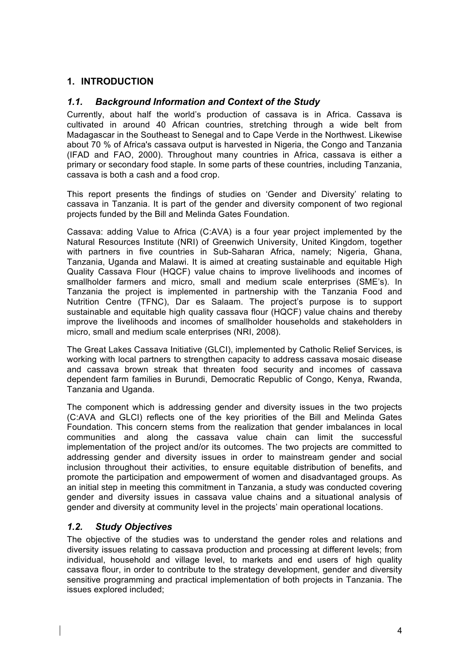# **1. INTRODUCTION**

# *1.1. Background Information and Context of the Study*

Currently, about half the world's production of cassava is in Africa. Cassava is cultivated in around 40 African countries, stretching through a wide belt from Madagascar in the Southeast to Senegal and to Cape Verde in the Northwest. Likewise about 70 % of Africa's cassava output is harvested in Nigeria, the Congo and Tanzania (IFAD and FAO, 2000). Throughout many countries in Africa, cassava is either a primary or secondary food staple. In some parts of these countries, including Tanzania, cassava is both a cash and a food crop.

This report presents the findings of studies on 'Gender and Diversity' relating to cassava in Tanzania. It is part of the gender and diversity component of two regional projects funded by the Bill and Melinda Gates Foundation.

Cassava: adding Value to Africa (C:AVA) is a four year project implemented by the Natural Resources Institute (NRI) of Greenwich University, United Kingdom, together with partners in five countries in Sub-Saharan Africa, namely; Nigeria, Ghana, Tanzania, Uganda and Malawi. It is aimed at creating sustainable and equitable High Quality Cassava Flour (HQCF) value chains to improve livelihoods and incomes of smallholder farmers and micro, small and medium scale enterprises (SME's). In Tanzania the project is implemented in partnership with the Tanzania Food and Nutrition Centre (TFNC), Dar es Salaam. The project's purpose is to support sustainable and equitable high quality cassava flour (HQCF) value chains and thereby improve the livelihoods and incomes of smallholder households and stakeholders in micro, small and medium scale enterprises (NRI, 2008).

The Great Lakes Cassava Initiative (GLCI), implemented by Catholic Relief Services, is working with local partners to strengthen capacity to address cassava mosaic disease and cassava brown streak that threaten food security and incomes of cassava dependent farm families in Burundi, Democratic Republic of Congo, Kenya, Rwanda, Tanzania and Uganda.

The component which is addressing gender and diversity issues in the two projects (C:AVA and GLCI) reflects one of the key priorities of the Bill and Melinda Gates Foundation. This concern stems from the realization that gender imbalances in local communities and along the cassava value chain can limit the successful implementation of the project and/or its outcomes. The two projects are committed to addressing gender and diversity issues in order to mainstream gender and social inclusion throughout their activities, to ensure equitable distribution of benefits, and promote the participation and empowerment of women and disadvantaged groups. As an initial step in meeting this commitment in Tanzania, a study was conducted covering gender and diversity issues in cassava value chains and a situational analysis of gender and diversity at community level in the projects' main operational locations.

# *1.2. Study Objectives*

The objective of the studies was to understand the gender roles and relations and diversity issues relating to cassava production and processing at different levels; from individual, household and village level, to markets and end users of high quality cassava flour, in order to contribute to the strategy development, gender and diversity sensitive programming and practical implementation of both projects in Tanzania. The issues explored included;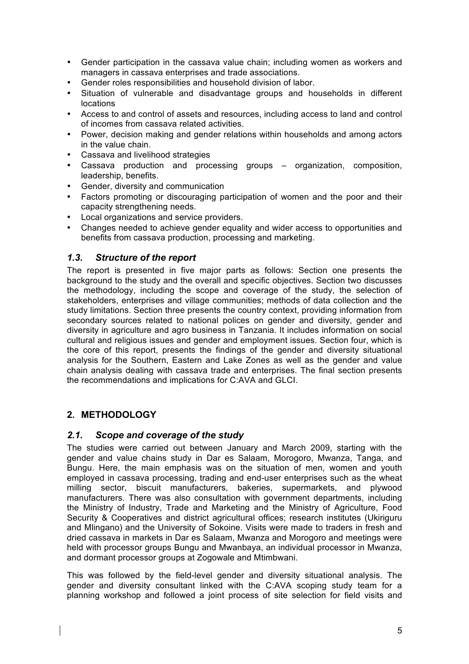- Gender participation in the cassava value chain; including women as workers and managers in cassava enterprises and trade associations.
- Gender roles responsibilities and household division of labor.
- Situation of vulnerable and disadvantage groups and households in different locations
- Access to and control of assets and resources, including access to land and control of incomes from cassava related activities.
- Power, decision making and gender relations within households and among actors in the value chain.
- Cassava and livelihood strategies
- Cassava production and processing groups organization, composition, leadership, benefits.
- Gender, diversity and communication
- Factors promoting or discouraging participation of women and the poor and their capacity strengthening needs.
- Local organizations and service providers.
- Changes needed to achieve gender equality and wider access to opportunities and benefits from cassava production, processing and marketing.

# *1.3. Structure of the report*

The report is presented in five major parts as follows: Section one presents the background to the study and the overall and specific objectives. Section two discusses the methodology, including the scope and coverage of the study, the selection of stakeholders, enterprises and village communities; methods of data collection and the study limitations. Section three presents the country context, providing information from secondary sources related to national polices on gender and diversity, gender and diversity in agriculture and agro business in Tanzania. It includes information on social cultural and religious issues and gender and employment issues. Section four, which is the core of this report, presents the findings of the gender and diversity situational analysis for the Southern, Eastern and Lake Zones as well as the gender and value chain analysis dealing with cassava trade and enterprises. The final section presents the recommendations and implications for C:AVA and GLCI.

# **2. METHODOLOGY**

# *2.1. Scope and coverage of the study*

The studies were carried out between January and March 2009, starting with the gender and value chains study in Dar es Salaam, Morogoro, Mwanza, Tanga, and Bungu. Here, the main emphasis was on the situation of men, women and youth employed in cassava processing, trading and end-user enterprises such as the wheat milling sector, biscuit manufacturers, bakeries, supermarkets, and plywood manufacturers. There was also consultation with government departments, including the Ministry of Industry, Trade and Marketing and the Ministry of Agriculture, Food Security & Cooperatives and district agricultural offices; research institutes (Ukiriguru and Mlingano) and the University of Sokoine. Visits were made to traders in fresh and dried cassava in markets in Dar es Salaam, Mwanza and Morogoro and meetings were held with processor groups Bungu and Mwanbaya, an individual processor in Mwanza, and dormant processor groups at Zogowale and Mtimbwani.

This was followed by the field-level gender and diversity situational analysis. The gender and diversity consultant linked with the C:AVA scoping study team for a planning workshop and followed a joint process of site selection for field visits and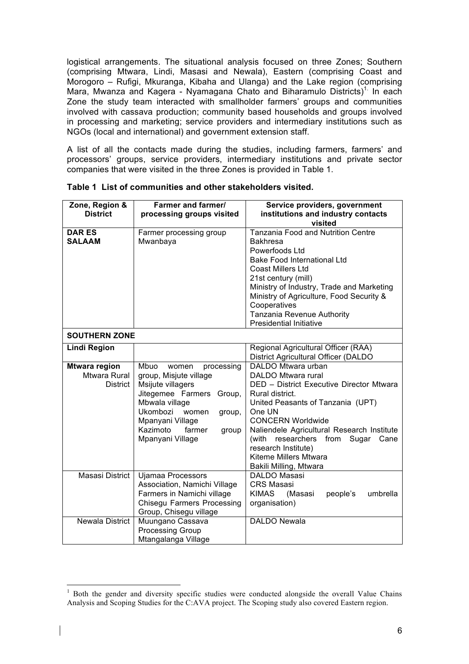logistical arrangements. The situational analysis focused on three Zones; Southern (comprising Mtwara, Lindi, Masasi and Newala), Eastern (comprising Coast and Morogoro – Rufigi, Mkuranga, Kibaha and Ulanga) and the Lake region (comprising Mara, Mwanza and Kagera - Nyamagana Chato and Biharamulo Districts)<sup>1</sup> In each Zone the study team interacted with smallholder farmers' groups and communities involved with cassava production; community based households and groups involved in processing and marketing; service providers and intermediary institutions such as NGOs (local and international) and government extension staff.

A list of all the contacts made during the studies, including farmers, farmers' and processors' groups, service providers, intermediary institutions and private sector companies that were visited in the three Zones is provided in Table 1.

| Zone, Region &<br><b>District</b>                       | <b>Farmer and farmer/</b><br>processing groups visited                                                                                                                                                                            | Service providers, government<br>institutions and industry contacts                                                                                                                                                                                                                                                                                   |
|---------------------------------------------------------|-----------------------------------------------------------------------------------------------------------------------------------------------------------------------------------------------------------------------------------|-------------------------------------------------------------------------------------------------------------------------------------------------------------------------------------------------------------------------------------------------------------------------------------------------------------------------------------------------------|
| <b>DAR ES</b><br><b>SALAAM</b>                          | Farmer processing group<br>Mwanbaya                                                                                                                                                                                               | visited<br><b>Tanzania Food and Nutrition Centre</b><br><b>Bakhresa</b><br>Powerfoods Ltd<br><b>Bake Food International Ltd</b><br>Coast Millers Ltd<br>21st century (mill)<br>Ministry of Industry, Trade and Marketing<br>Ministry of Agriculture, Food Security &<br>Cooperatives<br>Tanzania Revenue Authority<br><b>Presidential Initiative</b>  |
| <b>SOUTHERN ZONE</b>                                    |                                                                                                                                                                                                                                   |                                                                                                                                                                                                                                                                                                                                                       |
| <b>Lindi Region</b>                                     |                                                                                                                                                                                                                                   | Regional Agricultural Officer (RAA)<br>District Agricultural Officer (DALDO                                                                                                                                                                                                                                                                           |
| <b>Mtwara region</b><br>Mtwara Rural<br><b>District</b> | Mbuo<br>women<br>processing<br>group, Misjute village<br>Msijute villagers<br>Jitegemee Farmers<br>Group,<br>Mbwala village<br>Ukombozi<br>women<br>group,<br>Mpanyani Village<br>Kazimoto<br>farmer<br>group<br>Mpanyani Village | DALDO Mtwara urban<br>DALDO Mtwara rural<br>DED - District Executive Director Mtwara<br>Rural district.<br>United Peasants of Tanzania (UPT)<br>One UN<br><b>CONCERN Worldwide</b><br>Naliendele Agricultural Research Institute<br>(with researchers from<br>Sugar<br>Cane<br>research Institute)<br>Kiteme Millers Mtwara<br>Bakili Milling, Mtwara |
| Masasi District                                         | <b>Ujamaa Processors</b><br>Association, Namichi Village<br>Farmers in Namichi village<br><b>Chisegu Farmers Processing</b><br>Group, Chisegu village                                                                             | <b>DALDO Masasi</b><br><b>CRS Masasi</b><br><b>KIMAS</b><br>(Masasi<br>people's<br>umbrella<br>organisation)                                                                                                                                                                                                                                          |
| Newala District                                         | Muungano Cassava<br><b>Processing Group</b><br>Mtangalanga Village                                                                                                                                                                | <b>DALDO Newala</b>                                                                                                                                                                                                                                                                                                                                   |

**Table 1 List of communities and other stakeholders visited.**

<sup>&</sup>lt;sup>1</sup> Both the gender and diversity specific studies were conducted alongside the overall Value Chains Analysis and Scoping Studies for the C:AVA project. The Scoping study also covered Eastern region.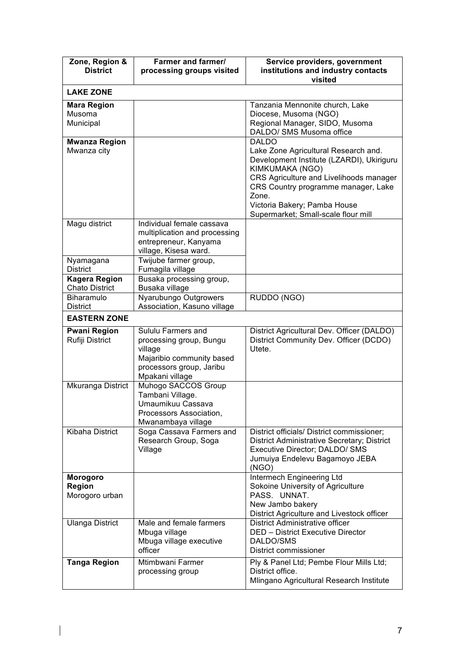| Zone, Region &<br><b>District</b>             | Farmer and farmer/<br>processing groups visited                                                                                      | Service providers, government<br>institutions and industry contacts<br>visited                                                                                                                                                                                                         |
|-----------------------------------------------|--------------------------------------------------------------------------------------------------------------------------------------|----------------------------------------------------------------------------------------------------------------------------------------------------------------------------------------------------------------------------------------------------------------------------------------|
| <b>LAKE ZONE</b>                              |                                                                                                                                      |                                                                                                                                                                                                                                                                                        |
| <b>Mara Region</b><br>Musoma<br>Municipal     |                                                                                                                                      | Tanzania Mennonite church, Lake<br>Diocese, Musoma (NGO)<br>Regional Manager, SIDO, Musoma<br>DALDO/ SMS Musoma office                                                                                                                                                                 |
| <b>Mwanza Region</b><br>Mwanza city           |                                                                                                                                      | <b>DALDO</b><br>Lake Zone Agricultural Research and.<br>Development Institute (LZARDI), Ukiriguru<br>KIMKUMAKA (NGO)<br>CRS Agriculture and Livelihoods manager<br>CRS Country programme manager, Lake<br>Zone.<br>Victoria Bakery; Pamba House<br>Supermarket; Small-scale flour mill |
| Magu district                                 | Individual female cassava<br>multiplication and processing<br>entrepreneur, Kanyama<br>village, Kisesa ward.                         |                                                                                                                                                                                                                                                                                        |
| Nyamagana<br><b>District</b>                  | Twijube farmer group,<br>Fumagila village                                                                                            |                                                                                                                                                                                                                                                                                        |
| <b>Kagera Region</b><br><b>Chato District</b> | Busaka processing group,<br>Busaka village                                                                                           |                                                                                                                                                                                                                                                                                        |
| Biharamulo<br><b>District</b>                 | Nyarubungo Outgrowers<br>Association, Kasuno village                                                                                 | RUDDO (NGO)                                                                                                                                                                                                                                                                            |
| <b>EASTERN ZONE</b>                           |                                                                                                                                      |                                                                                                                                                                                                                                                                                        |
| <b>Pwani Region</b><br>Rufiji District        | Sululu Farmers and<br>processing group, Bungu<br>village<br>Majaribio community based<br>processors group, Jaribu<br>Mpakani village | District Agricultural Dev. Officer (DALDO)<br>District Community Dev. Officer (DCDO)<br>Utete.                                                                                                                                                                                         |
| Mkuranga District                             | Muhogo SACCOS Group<br>Tambani Village.<br>Umaumikuu Cassava<br>Processors Association,<br>Mwanambaya village                        |                                                                                                                                                                                                                                                                                        |
| Kibaha District                               | Soga Cassava Farmers and<br>Research Group, Soga<br>Village                                                                          | District officials/ District commissioner;<br>District Administrative Secretary; District<br>Executive Director; DALDO/ SMS<br>Jumuiya Endelevu Bagamoyo JEBA<br>(NGO)                                                                                                                 |
| Morogoro<br>Region<br>Morogoro urban          |                                                                                                                                      | Intermech Engineering Ltd<br>Sokoine University of Agriculture<br>PASS. UNNAT.<br>New Jambo bakery<br>District Agriculture and Livestock officer                                                                                                                                       |
| <b>Ulanga District</b>                        | Male and female farmers<br>Mbuga village<br>Mbuga village executive<br>officer                                                       | District Administrative officer<br><b>DED - District Executive Director</b><br>DALDO/SMS<br>District commissioner                                                                                                                                                                      |
| <b>Tanga Region</b>                           | Mtimbwani Farmer<br>processing group                                                                                                 | Ply & Panel Ltd; Pembe Flour Mills Ltd;<br>District office.<br>Mlingano Agricultural Research Institute                                                                                                                                                                                |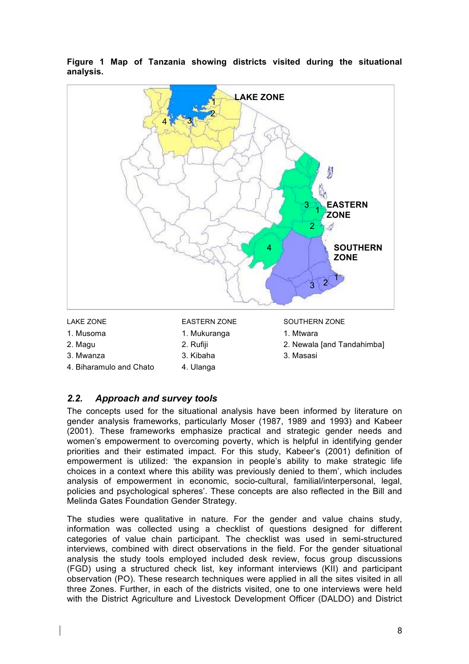

**Figure 1 Map of Tanzania showing districts visited during the situational analysis.** 

- 1. Musoma 1. Mukuranga 1. Mukuranga 1. Mtwara
- -
- 4. Biharamulo and Chato 4. Ulanga
- 
- 
- 
- 
- 2. Magu 2. Rufiji 2. Newala [and Tandahimba]
- 3. Mwanza 3. Kibaha 3. Masasi

# *2.2. Approach and survey tools*

The concepts used for the situational analysis have been informed by literature on gender analysis frameworks, particularly Moser (1987, 1989 and 1993) and Kabeer (2001). These frameworks emphasize practical and strategic gender needs and women's empowerment to overcoming poverty, which is helpful in identifying gender priorities and their estimated impact. For this study, Kabeer's (2001) definition of empowerment is utilized: 'the expansion in people's ability to make strategic life choices in a context where this ability was previously denied to them', which includes analysis of empowerment in economic, socio-cultural, familial/interpersonal, legal, policies and psychological spheres'. These concepts are also reflected in the Bill and Melinda Gates Foundation Gender Strategy.

The studies were qualitative in nature. For the gender and value chains study, information was collected using a checklist of questions designed for different categories of value chain participant. The checklist was used in semi-structured interviews, combined with direct observations in the field. For the gender situational analysis the study tools employed included desk review, focus group discussions (FGD) using a structured check list, key informant interviews (KII) and participant observation (PO). These research techniques were applied in all the sites visited in all three Zones. Further, in each of the districts visited, one to one interviews were held with the District Agriculture and Livestock Development Officer (DALDO) and District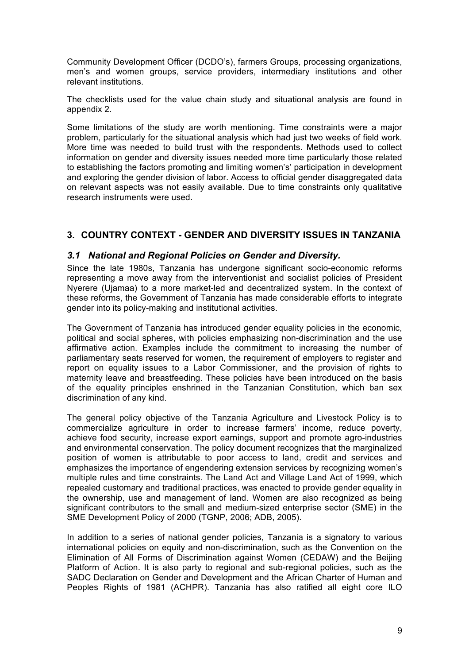Community Development Officer (DCDO's), farmers Groups, processing organizations, men's and women groups, service providers, intermediary institutions and other relevant institutions.

The checklists used for the value chain study and situational analysis are found in appendix 2.

Some limitations of the study are worth mentioning. Time constraints were a major problem, particularly for the situational analysis which had just two weeks of field work. More time was needed to build trust with the respondents. Methods used to collect information on gender and diversity issues needed more time particularly those related to establishing the factors promoting and limiting women's' participation in development and exploring the gender division of labor. Access to official gender disaggregated data on relevant aspects was not easily available. Due to time constraints only qualitative research instruments were used.

# **3. COUNTRY CONTEXT - GENDER AND DIVERSITY ISSUES IN TANZANIA**

# *3.1 National and Regional Policies on Gender and Diversity.*

Since the late 1980s, Tanzania has undergone significant socio-economic reforms representing a move away from the interventionist and socialist policies of President Nyerere (Ujamaa) to a more market-led and decentralized system. In the context of these reforms, the Government of Tanzania has made considerable efforts to integrate gender into its policy-making and institutional activities.

The Government of Tanzania has introduced gender equality policies in the economic, political and social spheres, with policies emphasizing non-discrimination and the use affirmative action. Examples include the commitment to increasing the number of parliamentary seats reserved for women, the requirement of employers to register and report on equality issues to a Labor Commissioner, and the provision of rights to maternity leave and breastfeeding. These policies have been introduced on the basis of the equality principles enshrined in the Tanzanian Constitution, which ban sex discrimination of any kind.

The general policy objective of the Tanzania Agriculture and Livestock Policy is to commercialize agriculture in order to increase farmers' income, reduce poverty, achieve food security, increase export earnings, support and promote agro-industries and environmental conservation. The policy document recognizes that the marginalized position of women is attributable to poor access to land, credit and services and emphasizes the importance of engendering extension services by recognizing women's multiple rules and time constraints. The Land Act and Village Land Act of 1999, which repealed customary and traditional practices, was enacted to provide gender equality in the ownership, use and management of land. Women are also recognized as being significant contributors to the small and medium-sized enterprise sector (SME) in the SME Development Policy of 2000 (TGNP, 2006; ADB, 2005).

In addition to a series of national gender policies, Tanzania is a signatory to various international policies on equity and non-discrimination, such as the Convention on the Elimination of All Forms of Discrimination against Women (CEDAW) and the Beijing Platform of Action. It is also party to regional and sub-regional policies, such as the SADC Declaration on Gender and Development and the African Charter of Human and Peoples Rights of 1981 (ACHPR). Tanzania has also ratified all eight core ILO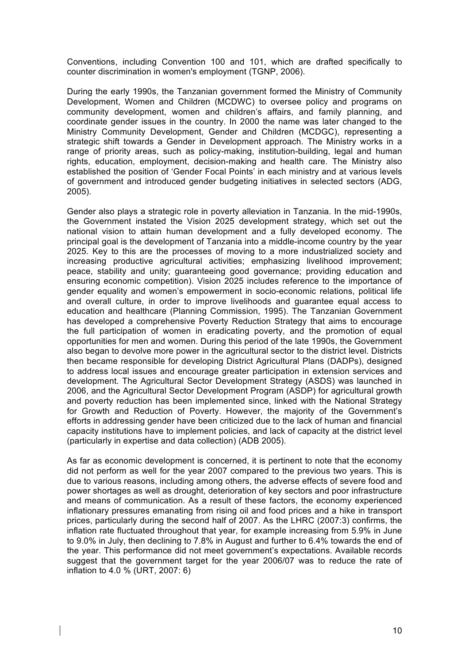Conventions, including Convention 100 and 101, which are drafted specifically to counter discrimination in women's employment (TGNP, 2006).

During the early 1990s, the Tanzanian government formed the Ministry of Community Development, Women and Children (MCDWC) to oversee policy and programs on community development, women and children's affairs, and family planning, and coordinate gender issues in the country. In 2000 the name was later changed to the Ministry Community Development, Gender and Children (MCDGC), representing a strategic shift towards a Gender in Development approach. The Ministry works in a range of priority areas, such as policy-making, institution-building, legal and human rights, education, employment, decision-making and health care. The Ministry also established the position of 'Gender Focal Points' in each ministry and at various levels of government and introduced gender budgeting initiatives in selected sectors (ADG, 2005).

Gender also plays a strategic role in poverty alleviation in Tanzania. In the mid-1990s, the Government instated the Vision 2025 development strategy, which set out the national vision to attain human development and a fully developed economy. The principal goal is the development of Tanzania into a middle-income country by the year 2025. Key to this are the processes of moving to a more industrialized society and increasing productive agricultural activities; emphasizing livelihood improvement; peace, stability and unity; guaranteeing good governance; providing education and ensuring economic competition). Vision 2025 includes reference to the importance of gender equality and women's empowerment in socio-economic relations, political life and overall culture, in order to improve livelihoods and guarantee equal access to education and healthcare (Planning Commission, 1995). The Tanzanian Government has developed a comprehensive Poverty Reduction Strategy that aims to encourage the full participation of women in eradicating poverty, and the promotion of equal opportunities for men and women. During this period of the late 1990s, the Government also began to devolve more power in the agricultural sector to the district level. Districts then became responsible for developing District Agricultural Plans (DADPs), designed to address local issues and encourage greater participation in extension services and development. The Agricultural Sector Development Strategy (ASDS) was launched in 2006, and the Agricultural Sector Development Program (ASDP) for agricultural growth and poverty reduction has been implemented since, linked with the National Strategy for Growth and Reduction of Poverty. However, the majority of the Government's efforts in addressing gender have been criticized due to the lack of human and financial capacity institutions have to implement policies, and lack of capacity at the district level (particularly in expertise and data collection) (ADB 2005).

As far as economic development is concerned, it is pertinent to note that the economy did not perform as well for the year 2007 compared to the previous two years. This is due to various reasons, including among others, the adverse effects of severe food and power shortages as well as drought, deterioration of key sectors and poor infrastructure and means of communication. As a result of these factors, the economy experienced inflationary pressures emanating from rising oil and food prices and a hike in transport prices, particularly during the second half of 2007. As the LHRC (2007:3) confirms, the inflation rate fluctuated throughout that year, for example increasing from 5.9% in June to 9.0% in July, then declining to 7.8% in August and further to 6.4% towards the end of the year. This performance did not meet government's expectations. Available records suggest that the government target for the year 2006/07 was to reduce the rate of inflation to 4.0 % (URT, 2007: 6)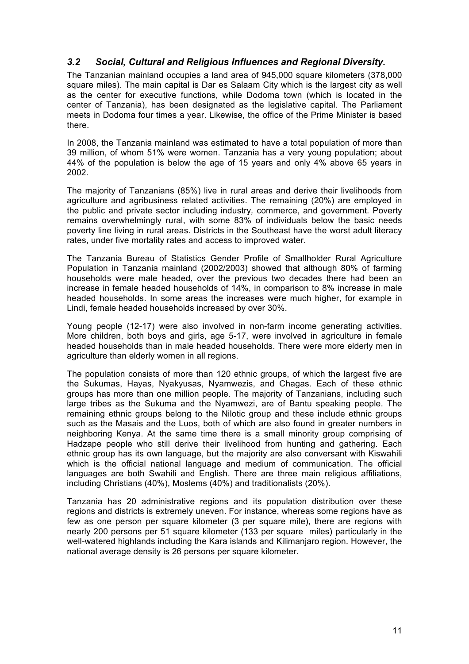# *3.2 Social, Cultural and Religious Influences and Regional Diversity.*

The Tanzanian mainland occupies a land area of 945,000 square kilometers (378,000 square miles). The main capital is Dar es Salaam City which is the largest city as well as the center for executive functions, while Dodoma town (which is located in the center of Tanzania), has been designated as the legislative capital. The Parliament meets in Dodoma four times a year. Likewise, the office of the Prime Minister is based there.

In 2008, the Tanzania mainland was estimated to have a total population of more than 39 million, of whom 51% were women. Tanzania has a very young population; about 44% of the population is below the age of 15 years and only 4% above 65 years in 2002.

The majority of Tanzanians (85%) live in rural areas and derive their livelihoods from agriculture and agribusiness related activities. The remaining (20%) are employed in the public and private sector including industry*,* commerce, and government. Poverty remains overwhelmingly rural, with some 83% of individuals below the basic needs poverty line living in rural areas. Districts in the Southeast have the worst adult literacy rates, under five mortality rates and access to improved water.

The Tanzania Bureau of Statistics Gender Profile of Smallholder Rural Agriculture Population in Tanzania mainland (2002/2003) showed that although 80% of farming households were male headed, over the previous two decades there had been an increase in female headed households of 14%, in comparison to 8% increase in male headed households. In some areas the increases were much higher, for example in Lindi, female headed households increased by over 30%.

Young people (12-17) were also involved in non-farm income generating activities. More children, both boys and girls, age 5-17, were involved in agriculture in female headed households than in male headed households. There were more elderly men in agriculture than elderly women in all regions.

The population consists of more than 120 ethnic groups, of which the largest five are the Sukumas, Hayas, Nyakyusas, Nyamwezis, and Chagas. Each of these ethnic groups has more than one million people. The majority of Tanzanians, including such large tribes as the Sukuma and the Nyamwezi, are of Bantu speaking people. The remaining ethnic groups belong to the Nilotic group and these include ethnic groups such as the Masais and the Luos, both of which are also found in greater numbers in neighboring Kenya. At the same time there is a small minority group comprising of Hadzape people who still derive their livelihood from hunting and gathering. Each ethnic group has its own language, but the majority are also conversant with Kiswahili which is the official national language and medium of communication. The official languages are both Swahili and English. There are three main religious affiliations, including Christians (40%), Moslems (40%) and traditionalists (20%).

Tanzania has 20 administrative regions and its population distribution over these regions and districts is extremely uneven. For instance, whereas some regions have as few as one person per square kilometer (3 per square mile), there are regions with nearly 200 persons per 51 square kilometer (133 per square miles) particularly in the well-watered highlands including the Kara islands and Kilimanjaro region. However, the national average density is 26 persons per square kilometer.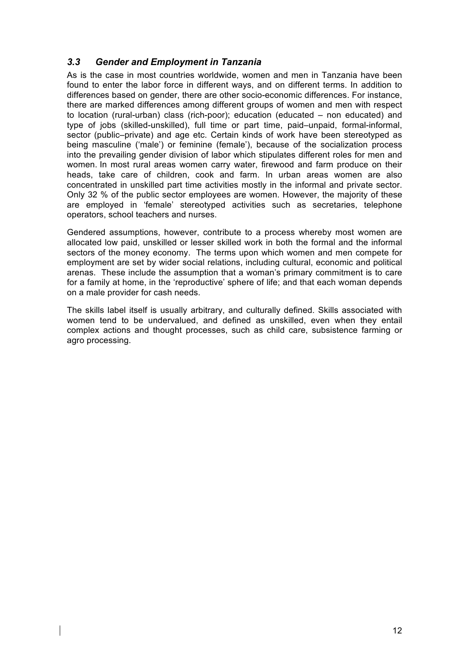# *3.3 Gender and Employment in Tanzania*

As is the case in most countries worldwide, women and men in Tanzania have been found to enter the labor force in different ways, and on different terms. In addition to differences based on gender, there are other socio-economic differences. For instance, there are marked differences among different groups of women and men with respect to location (rural-urban) class (rich-poor); education (educated – non educated) and type of jobs (skilled-unskilled), full time or part time, paid–unpaid, formal-informal, sector (public–private) and age etc. Certain kinds of work have been stereotyped as being masculine ('male') or feminine (female'), because of the socialization process into the prevailing gender division of labor which stipulates different roles for men and women. In most rural areas women carry water, firewood and farm produce on their heads, take care of children, cook and farm. In urban areas women are also concentrated in unskilled part time activities mostly in the informal and private sector. Only 32 % of the public sector employees are women. However, the majority of these are employed in 'female' stereotyped activities such as secretaries, telephone operators, school teachers and nurses.

Gendered assumptions, however, contribute to a process whereby most women are allocated low paid, unskilled or lesser skilled work in both the formal and the informal sectors of the money economy. The terms upon which women and men compete for employment are set by wider social relations, including cultural, economic and political arenas. These include the assumption that a woman's primary commitment is to care for a family at home, in the 'reproductive' sphere of life; and that each woman depends on a male provider for cash needs.

The skills label itself is usually arbitrary, and culturally defined. Skills associated with women tend to be undervalued, and defined as unskilled, even when they entail complex actions and thought processes, such as child care, subsistence farming or agro processing.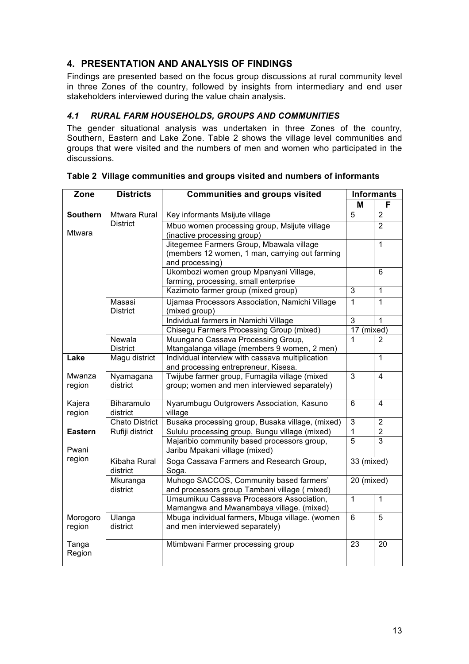# **4. PRESENTATION AND ANALYSIS OF FINDINGS**

Findings are presented based on the focus group discussions at rural community level in three Zones of the country, followed by insights from intermediary and end user stakeholders interviewed during the value chain analysis.

# *4.1 RURAL FARM HOUSEHOLDS, GROUPS AND COMMUNITIES*

The gender situational analysis was undertaken in three Zones of the country, Southern, Eastern and Lake Zone. Table 2 shows the village level communities and groups that were visited and the numbers of men and women who participated in the discussions.

| Zone               | <b>Districts</b>          | <b>Communities and groups visited</b>                                                                         |                | <b>Informants</b> |
|--------------------|---------------------------|---------------------------------------------------------------------------------------------------------------|----------------|-------------------|
|                    |                           |                                                                                                               | M              | F                 |
| <b>Southern</b>    | <b>Mtwara Rural</b>       | Key informants Msijute village                                                                                | $\overline{5}$ | $\overline{2}$    |
| Mtwara             | <b>District</b>           | Mbuo women processing group, Msijute village<br>(inactive processing group)                                   |                | $\overline{2}$    |
|                    |                           | Jitegemee Farmers Group, Mbawala village<br>(members 12 women, 1 man, carrying out farming<br>and processing) |                | $\overline{1}$    |
|                    |                           | Ukombozi women group Mpanyani Village,<br>farming, processing, small enterprise                               |                | 6                 |
|                    |                           | Kazimoto farmer group (mixed group)                                                                           | 3              | 1                 |
|                    | Masasi<br><b>District</b> | Ujamaa Processors Association, Namichi Village<br>(mixed group)                                               | 1              | $\mathbf{1}$      |
|                    |                           | Individual farmers in Namichi Village                                                                         | $\overline{3}$ | $\overline{1}$    |
|                    |                           | <b>Chisegu Farmers Processing Group (mixed)</b>                                                               | 17             | (mixed)           |
|                    | Newala<br><b>District</b> | Muungano Cassava Processing Group,<br>Mtangalanga village (members 9 women, 2 men)                            | 1              | $\overline{2}$    |
| Lake               | Magu district             | Individual interview with cassava multiplication<br>and processing entrepreneur, Kisesa.                      |                | $\overline{1}$    |
| Mwanza<br>region   | Nyamagana<br>district     | Twijube farmer group, Fumagila village (mixed<br>group; women and men interviewed separately)                 | 3              | 4                 |
| Kajera<br>region   | Biharamulo<br>district    | Nyarumbugu Outgrowers Association, Kasuno<br>village                                                          | $\overline{6}$ | 4                 |
|                    | <b>Chato District</b>     | Busaka processing group, Busaka village, (mixed)                                                              | 3              | 2                 |
| <b>Eastern</b>     | Rufiji district           | Sululu processing group, Bungu village (mixed)                                                                | 1              | $\overline{2}$    |
| Pwani              |                           | Majaribio community based processors group,<br>Jaribu Mpakani village (mixed)                                 | $\overline{5}$ | $\overline{3}$    |
| region             | Kibaha Rural<br>district  | Soga Cassava Farmers and Research Group,<br>Soga.                                                             | 33 (mixed)     |                   |
|                    | Mkuranga<br>district      | Muhogo SACCOS, Community based farmers'<br>and processors group Tambani village (mixed)                       | 20 (mixed)     |                   |
|                    |                           | Umaumikuu Cassava Processors Association,<br>Mamangwa and Mwanambaya village. (mixed)                         | $\overline{1}$ | $\mathbf{1}$      |
| Morogoro<br>region | Ulanga<br>district        | Mbuga individual farmers, Mbuga village. (women<br>and men interviewed separately)                            | $\overline{6}$ | $\overline{5}$    |
| Tanga<br>Region    |                           | Mtimbwani Farmer processing group                                                                             | 23             | 20                |

**Table 2 Village communities and groups visited and numbers of informants**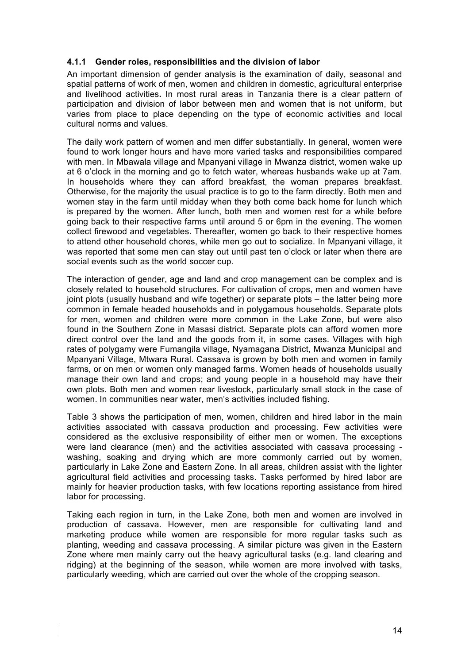## **4.1.1 Gender roles, responsibilities and the division of labor**

An important dimension of gender analysis is the examination of daily, seasonal and spatial patterns of work of men, women and children in domestic, agricultural enterprise and livelihood activities**.** In most rural areas in Tanzania there is a clear pattern of participation and division of labor between men and women that is not uniform, but varies from place to place depending on the type of economic activities and local cultural norms and values.

The daily work pattern of women and men differ substantially. In general, women were found to work longer hours and have more varied tasks and responsibilities compared with men. In Mbawala village and Mpanyani village in Mwanza district, women wake up at 6 o'clock in the morning and go to fetch water, whereas husbands wake up at 7am. In households where they can afford breakfast, the woman prepares breakfast. Otherwise, for the majority the usual practice is to go to the farm directly. Both men and women stay in the farm until midday when they both come back home for lunch which is prepared by the women. After lunch, both men and women rest for a while before going back to their respective farms until around 5 or 6pm in the evening. The women collect firewood and vegetables. Thereafter, women go back to their respective homes to attend other household chores, while men go out to socialize. In Mpanyani village, it was reported that some men can stay out until past ten o'clock or later when there are social events such as the world soccer cup.

The interaction of gender, age and land and crop management can be complex and is closely related to household structures. For cultivation of crops, men and women have joint plots (usually husband and wife together) or separate plots – the latter being more common in female headed households and in polygamous households. Separate plots for men, women and children were more common in the Lake Zone, but were also found in the Southern Zone in Masasi district. Separate plots can afford women more direct control over the land and the goods from it, in some cases. Villages with high rates of polygamy were Fumangila village, Nyamagana District, Mwanza Municipal and Mpanyani Village, Mtwara Rural. Cassava is grown by both men and women in family farms, or on men or women only managed farms. Women heads of households usually manage their own land and crops; and young people in a household may have their own plots. Both men and women rear livestock, particularly small stock in the case of women. In communities near water, men's activities included fishing.

Table 3 shows the participation of men, women, children and hired labor in the main activities associated with cassava production and processing. Few activities were considered as the exclusive responsibility of either men or women. The exceptions were land clearance (men) and the activities associated with cassava processing washing, soaking and drying which are more commonly carried out by women, particularly in Lake Zone and Eastern Zone. In all areas, children assist with the lighter agricultural field activities and processing tasks. Tasks performed by hired labor are mainly for heavier production tasks, with few locations reporting assistance from hired labor for processing.

Taking each region in turn, in the Lake Zone, both men and women are involved in production of cassava. However, men are responsible for cultivating land and marketing produce while women are responsible for more regular tasks such as planting, weeding and cassava processing. A similar picture was given in the Eastern Zone where men mainly carry out the heavy agricultural tasks (e.g. land clearing and ridging) at the beginning of the season, while women are more involved with tasks, particularly weeding, which are carried out over the whole of the cropping season.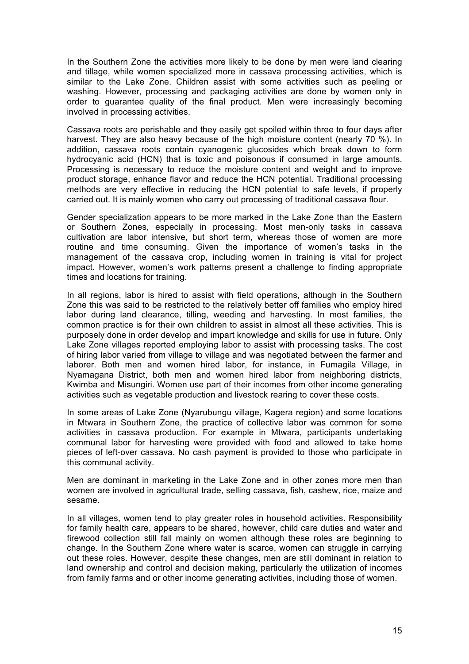In the Southern Zone the activities more likely to be done by men were land clearing and tillage, while women specialized more in cassava processing activities, which is similar to the Lake Zone. Children assist with some activities such as peeling or washing. However, processing and packaging activities are done by women only in order to guarantee quality of the final product. Men were increasingly becoming involved in processing activities.

Cassava roots are perishable and they easily get spoiled within three to four days after harvest. They are also heavy because of the high moisture content (nearly 70 %). In addition, cassava roots contain cyanogenic glucosides which break down to form hydrocyanic acid (HCN) that is toxic and poisonous if consumed in large amounts. Processing is necessary to reduce the moisture content and weight and to improve product storage, enhance flavor and reduce the HCN potential. Traditional processing methods are very effective in reducing the HCN potential to safe levels, if properly carried out. It is mainly women who carry out processing of traditional cassava flour.

Gender specialization appears to be more marked in the Lake Zone than the Eastern or Southern Zones, especially in processing. Most men-only tasks in cassava cultivation are labor intensive, but short term, whereas those of women are more routine and time consuming. Given the importance of women's tasks in the management of the cassava crop, including women in training is vital for project impact. However, women's work patterns present a challenge to finding appropriate times and locations for training.

In all regions, labor is hired to assist with field operations, although in the Southern Zone this was said to be restricted to the relatively better off families who employ hired labor during land clearance, tilling, weeding and harvesting. In most families, the common practice is for their own children to assist in almost all these activities. This is purposely done in order develop and impart knowledge and skills for use in future. Only Lake Zone villages reported employing labor to assist with processing tasks. The cost of hiring labor varied from village to village and was negotiated between the farmer and laborer. Both men and women hired labor, for instance, in Fumagila Village, in Nyamagana District, both men and women hired labor from neighboring districts, Kwimba and Misungiri. Women use part of their incomes from other income generating activities such as vegetable production and livestock rearing to cover these costs.

In some areas of Lake Zone (Nyarubungu village, Kagera region) and some locations in Mtwara in Southern Zone, the practice of collective labor was common for some activities in cassava production. For example in Mtwara, participants undertaking communal labor for harvesting were provided with food and allowed to take home pieces of left-over cassava. No cash payment is provided to those who participate in this communal activity.

Men are dominant in marketing in the Lake Zone and in other zones more men than women are involved in agricultural trade, selling cassava, fish, cashew, rice, maize and sesame.

In all villages, women tend to play greater roles in household activities. Responsibility for family health care, appears to be shared, however, child care duties and water and firewood collection still fall mainly on women although these roles are beginning to change. In the Southern Zone where water is scarce, women can struggle in carrying out these roles. However, despite these changes, men are still dominant in relation to land ownership and control and decision making, particularly the utilization of incomes from family farms and or other income generating activities, including those of women.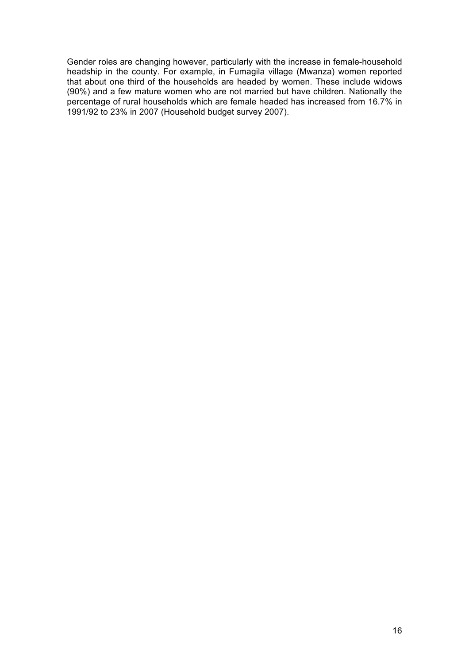Gender roles are changing however, particularly with the increase in female-household headship in the county. For example, in Fumagila village (Mwanza) women reported that about one third of the households are headed by women. These include widows (90%) and a few mature women who are not married but have children. Nationally the percentage of rural households which are female headed has increased from 16.7% in 1991/92 to 23% in 2007 (Household budget survey 2007).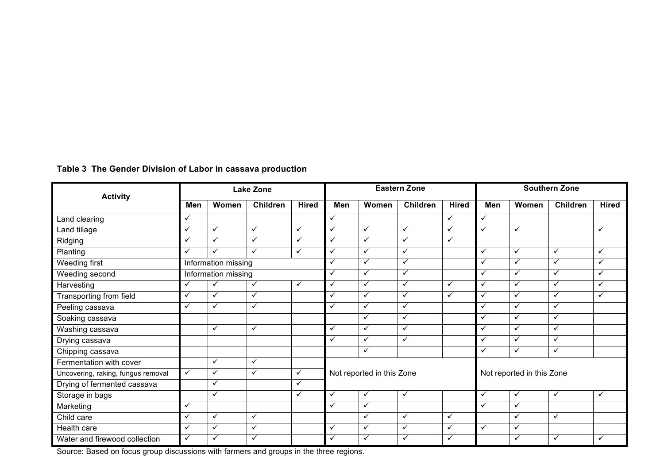|                                    | <b>Lake Zone</b> |                     |                 | <b>Eastern Zone</b> |                         |                           | <b>Southern Zone</b> |              |              |                           |                 |              |
|------------------------------------|------------------|---------------------|-----------------|---------------------|-------------------------|---------------------------|----------------------|--------------|--------------|---------------------------|-----------------|--------------|
| <b>Activity</b>                    | Men              | Women               | <b>Children</b> | <b>Hired</b>        | Men                     | Women                     | <b>Children</b>      | <b>Hired</b> | Men          | Women                     | <b>Children</b> | <b>Hired</b> |
| Land clearing                      | $\checkmark$     |                     |                 |                     | $\checkmark$            |                           |                      | $\checkmark$ | ✓            |                           |                 |              |
| Land tillage                       | $\checkmark$     | $\checkmark$        | $\checkmark$    | $\checkmark$        | $\checkmark$            | $\checkmark$              | $\checkmark$         | $\checkmark$ | ✓            | $\checkmark$              |                 | $\checkmark$ |
| Ridging                            | $\checkmark$     | $\checkmark$        | ✓               | $\checkmark$        | $\checkmark$            | ✓                         | $\checkmark$         | $\checkmark$ |              |                           |                 |              |
| Planting                           | $\checkmark$     | ✓                   | ✓               | $\checkmark$        | $\checkmark$            | $\checkmark$              | $\checkmark$         |              | ✓            | $\checkmark$              | $\checkmark$    | $\checkmark$ |
| <b>Weeding first</b>               |                  | Information missing |                 |                     | $\checkmark$            | ✓                         | $\checkmark$         |              | ✓            | $\checkmark$              | $\checkmark$    | $\checkmark$ |
| Weeding second                     |                  | Information missing |                 |                     | $\checkmark$            | $\checkmark$              | $\checkmark$         |              | ✓            | $\checkmark$              | $\checkmark$    | $\checkmark$ |
| Harvesting                         | $\checkmark$     | $\checkmark$        | $\checkmark$    | $\checkmark$        | $\checkmark$            | $\checkmark$              | $\checkmark$         | $\checkmark$ | ✓            | $\checkmark$              | $\checkmark$    | $\checkmark$ |
| Transporting from field            | $\checkmark$     | $\checkmark$        | $\checkmark$    |                     | $\checkmark$            | $\checkmark$              | $\checkmark$         | $\checkmark$ | ✓            | $\checkmark$              | $\checkmark$    | $\checkmark$ |
| Peeling cassava                    | $\checkmark$     | $\checkmark$        | $\checkmark$    |                     | $\checkmark$            | $\checkmark$              | $\checkmark$         |              | ✓            | $\checkmark$              | $\checkmark$    |              |
| Soaking cassava                    |                  |                     |                 |                     |                         | $\checkmark$              | $\checkmark$         |              | ✓            | $\checkmark$              | $\checkmark$    |              |
| Washing cassava                    |                  | $\checkmark$        | $\checkmark$    |                     | $\overline{\mathbf{v}}$ | ✓                         | $\checkmark$         |              | ✓            | $\checkmark$              | $\checkmark$    |              |
| Drying cassava                     |                  |                     |                 |                     | $\checkmark$            | ✓                         | $\checkmark$         |              | ✓            | $\checkmark$              | $\checkmark$    |              |
| Chipping cassava                   |                  |                     |                 |                     |                         | $\checkmark$              |                      |              | $\checkmark$ | $\checkmark$              | $\checkmark$    |              |
| Fermentation with cover            |                  | $\checkmark$        | $\checkmark$    |                     |                         |                           |                      |              |              |                           |                 |              |
| Uncovering, raking, fungus removal | $\checkmark$     | $\checkmark$        | $\checkmark$    | $\checkmark$        |                         | Not reported in this Zone |                      |              |              | Not reported in this Zone |                 |              |
| Drying of fermented cassava        |                  | $\checkmark$        |                 | $\checkmark$        |                         |                           |                      |              |              |                           |                 |              |
| Storage in bags                    |                  | $\checkmark$        |                 | $\checkmark$        | $\checkmark$            | $\checkmark$              | $\checkmark$         |              | ✓            | $\checkmark$              | $\checkmark$    | ✓            |
| Marketing                          | $\checkmark$     |                     |                 |                     | $\checkmark$            | ✓                         |                      |              | ✓            | $\checkmark$              |                 |              |
| Child care                         | $\checkmark$     | $\checkmark$        | ✓               |                     |                         | $\checkmark$              | $\checkmark$         | $\checkmark$ |              | $\checkmark$              | $\checkmark$    |              |
| Health care                        | ✓                | $\checkmark$        | $\checkmark$    |                     | $\checkmark$            | ✓                         | $\checkmark$         | $\checkmark$ | $\checkmark$ | ✓                         |                 |              |
| Water and firewood collection      | $\checkmark$     | ✓                   | ✓               |                     | $\checkmark$            | ✓                         | ✓                    | $\checkmark$ |              | ✓                         | $\checkmark$    | ✓            |

# **Table 3 The Gender Division of Labor in cassava production**

Source: Based on focus group discussions with farmers and groups in the three regions.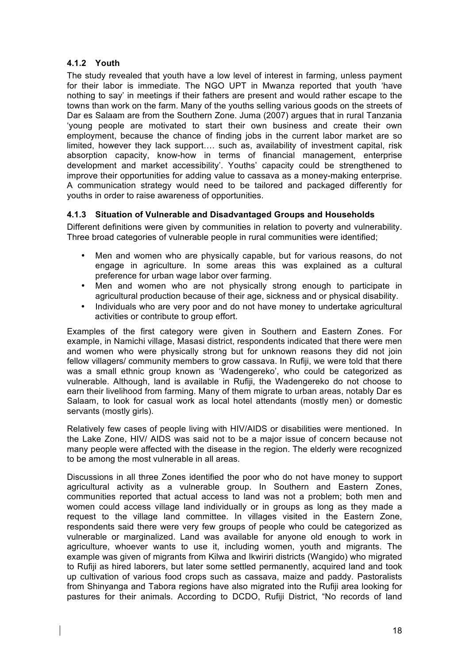# **4.1.2 Youth**

The study revealed that youth have a low level of interest in farming, unless payment for their labor is immediate. The NGO UPT in Mwanza reported that youth 'have nothing to say' in meetings if their fathers are present and would rather escape to the towns than work on the farm. Many of the youths selling various goods on the streets of Dar es Salaam are from the Southern Zone. Juma (2007) argues that in rural Tanzania 'young people are motivated to start their own business and create their own employment, because the chance of finding jobs in the current labor market are so limited, however they lack support…. such as, availability of investment capital, risk absorption capacity, know-how in terms of financial management, enterprise development and market accessibility'. Youths' capacity could be strengthened to improve their opportunities for adding value to cassava as a money-making enterprise. A communication strategy would need to be tailored and packaged differently for youths in order to raise awareness of opportunities.

## **4.1.3 Situation of Vulnerable and Disadvantaged Groups and Households**

Different definitions were given by communities in relation to poverty and vulnerability. Three broad categories of vulnerable people in rural communities were identified;

- Men and women who are physically capable, but for various reasons, do not engage in agriculture. In some areas this was explained as a cultural preference for urban wage labor over farming.
- Men and women who are not physically strong enough to participate in agricultural production because of their age, sickness and or physical disability.
- Individuals who are very poor and do not have money to undertake agricultural activities or contribute to group effort.

Examples of the first category were given in Southern and Eastern Zones. For example, in Namichi village, Masasi district, respondents indicated that there were men and women who were physically strong but for unknown reasons they did not join fellow villagers/ community members to grow cassava. In Rufiji, we were told that there was a small ethnic group known as 'Wadengereko', who could be categorized as vulnerable. Although, land is available in Rufiji, the Wadengereko do not choose to earn their livelihood from farming. Many of them migrate to urban areas, notably Dar es Salaam, to look for casual work as local hotel attendants (mostly men) or domestic servants (mostly girls).

Relatively few cases of people living with HIV/AIDS or disabilities were mentioned. In the Lake Zone, HIV/ AIDS was said not to be a major issue of concern because not many people were affected with the disease in the region. The elderly were recognized to be among the most vulnerable in all areas.

Discussions in all three Zones identified the poor who do not have money to support agricultural activity as a vulnerable group. In Southern and Eastern Zones, communities reported that actual access to land was not a problem; both men and women could access village land individually or in groups as long as they made a request to the village land committee. In villages visited in the Eastern Zone, respondents said there were very few groups of people who could be categorized as vulnerable or marginalized. Land was available for anyone old enough to work in agriculture, whoever wants to use it, including women, youth and migrants. The example was given of migrants from Kilwa and Ikwiriri districts (Wangido) who migrated to Rufiji as hired laborers, but later some settled permanently, acquired land and took up cultivation of various food crops such as cassava, maize and paddy. Pastoralists from Shinyanga and Tabora regions have also migrated into the Rufiji area looking for pastures for their animals. According to DCDO, Rufiji District, "No records of land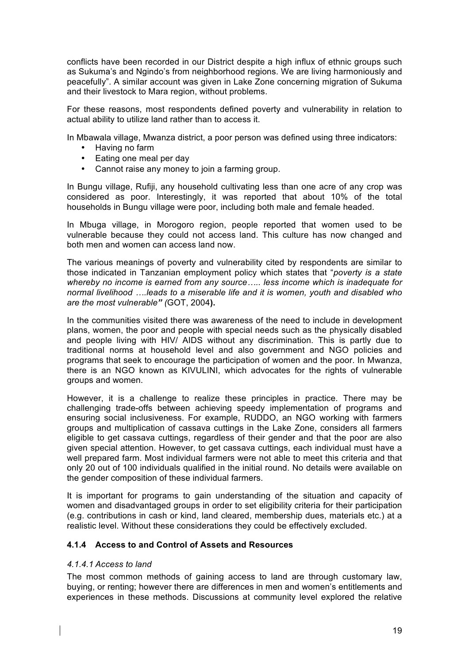conflicts have been recorded in our District despite a high influx of ethnic groups such as Sukuma's and Ngindo's from neighborhood regions. We are living harmoniously and peacefully". A similar account was given in Lake Zone concerning migration of Sukuma and their livestock to Mara region, without problems.

For these reasons, most respondents defined poverty and vulnerability in relation to actual ability to utilize land rather than to access it.

In Mbawala village, Mwanza district, a poor person was defined using three indicators:

- Having no farm
- Eating one meal per day
- Cannot raise any money to join a farming group.

In Bungu village, Rufiji, any household cultivating less than one acre of any crop was considered as poor. Interestingly, it was reported that about 10% of the total households in Bungu village were poor, including both male and female headed.

In Mbuga village, in Morogoro region, people reported that women used to be vulnerable because they could not access land. This culture has now changed and both men and women can access land now.

The various meanings of poverty and vulnerability cited by respondents are similar to those indicated in Tanzanian employment policy which states that "*poverty is a state whereby no income is earned from any source….. less income which is inadequate for normal livelihood ….leads to a miserable life and it is women, youth and disabled who are the most vulnerable" (*GOT, 2004**).** 

In the communities visited there was awareness of the need to include in development plans, women, the poor and people with special needs such as the physically disabled and people living with HIV/ AIDS without any discrimination. This is partly due to traditional norms at household level and also government and NGO policies and programs that seek to encourage the participation of women and the poor. In Mwanza, there is an NGO known as KIVULINI, which advocates for the rights of vulnerable groups and women.

However, it is a challenge to realize these principles in practice. There may be challenging trade-offs between achieving speedy implementation of programs and ensuring social inclusiveness. For example, RUDDO, an NGO working with farmers groups and multiplication of cassava cuttings in the Lake Zone, considers all farmers eligible to get cassava cuttings, regardless of their gender and that the poor are also given special attention. However, to get cassava cuttings, each individual must have a well prepared farm. Most individual farmers were not able to meet this criteria and that only 20 out of 100 individuals qualified in the initial round. No details were available on the gender composition of these individual farmers.

It is important for programs to gain understanding of the situation and capacity of women and disadvantaged groups in order to set eligibility criteria for their participation (e.g. contributions in cash or kind, land cleared, membership dues, materials etc.) at a realistic level. Without these considerations they could be effectively excluded.

# **4.1.4 Access to and Control of Assets and Resources**

## *4.1.4.1 Access to land*

The most common methods of gaining access to land are through customary law, buying, or renting; however there are differences in men and women's entitlements and experiences in these methods. Discussions at community level explored the relative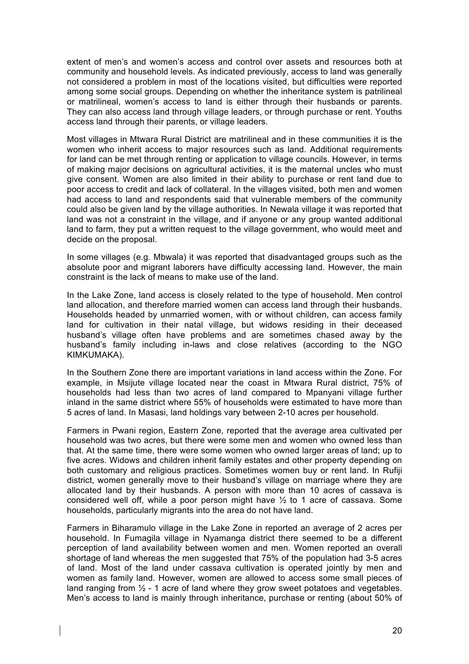extent of men's and women's access and control over assets and resources both at community and household levels. As indicated previously, access to land was generally not considered a problem in most of the locations visited, but difficulties were reported among some social groups. Depending on whether the inheritance system is patrilineal or matrilineal, women's access to land is either through their husbands or parents. They can also access land through village leaders, or through purchase or rent. Youths access land through their parents, or village leaders.

Most villages in Mtwara Rural District are matrilineal and in these communities it is the women who inherit access to major resources such as land. Additional requirements for land can be met through renting or application to village councils. However, in terms of making major decisions on agricultural activities, it is the maternal uncles who must give consent. Women are also limited in their ability to purchase or rent land due to poor access to credit and lack of collateral. In the villages visited, both men and women had access to land and respondents said that vulnerable members of the community could also be given land by the village authorities. In Newala village it was reported that land was not a constraint in the village, and if anyone or any group wanted additional land to farm, they put a written request to the village government, who would meet and decide on the proposal.

In some villages (e.g. Mbwala) it was reported that disadvantaged groups such as the absolute poor and migrant laborers have difficulty accessing land. However, the main constraint is the lack of means to make use of the land.

In the Lake Zone, land access is closely related to the type of household. Men control land allocation, and therefore married women can access land through their husbands. Households headed by unmarried women, with or without children, can access family land for cultivation in their natal village, but widows residing in their deceased husband's village often have problems and are sometimes chased away by the husband's family including in-laws and close relatives (according to the NGO KIMKUMAKA).

In the Southern Zone there are important variations in land access within the Zone. For example, in Msijute village located near the coast in Mtwara Rural district, 75% of households had less than two acres of land compared to Mpanyani village further inland in the same district where 55% of households were estimated to have more than 5 acres of land. In Masasi, land holdings vary between 2-10 acres per household.

Farmers in Pwani region, Eastern Zone, reported that the average area cultivated per household was two acres, but there were some men and women who owned less than that. At the same time, there were some women who owned larger areas of land; up to five acres. Widows and children inherit family estates and other property depending on both customary and religious practices. Sometimes women buy or rent land. In Rufiji district, women generally move to their husband's village on marriage where they are allocated land by their husbands. A person with more than 10 acres of cassava is considered well off, while a poor person might have ½ to 1 acre of cassava. Some households, particularly migrants into the area do not have land.

Farmers in Biharamulo village in the Lake Zone in reported an average of 2 acres per household. In Fumagila village in Nyamanga district there seemed to be a different perception of land availability between women and men. Women reported an overall shortage of land whereas the men suggested that 75% of the population had 3-5 acres of land. Most of the land under cassava cultivation is operated jointly by men and women as family land. However, women are allowed to access some small pieces of land ranging from  $\frac{1}{2}$  - 1 acre of land where they grow sweet potatoes and vegetables. Men's access to land is mainly through inheritance, purchase or renting (about 50% of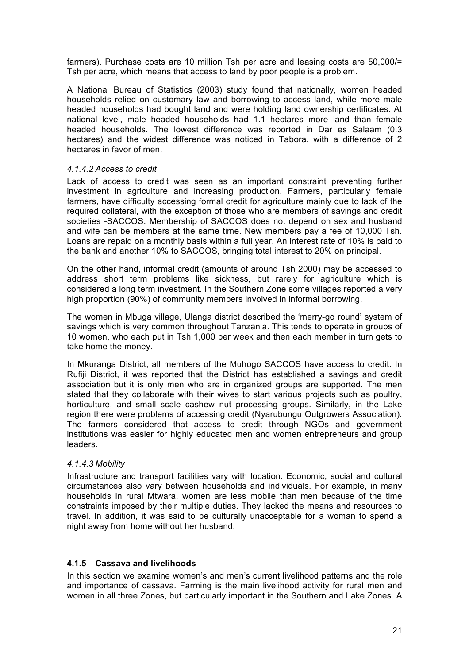farmers). Purchase costs are 10 million Tsh per acre and leasing costs are 50,000/= Tsh per acre, which means that access to land by poor people is a problem.

A National Bureau of Statistics (2003) study found that nationally, women headed households relied on customary law and borrowing to access land, while more male headed households had bought land and were holding land ownership certificates. At national level, male headed households had 1.1 hectares more land than female headed households. The lowest difference was reported in Dar es Salaam (0.3 hectares) and the widest difference was noticed in Tabora, with a difference of 2 hectares in favor of men.

#### *4.1.4.2 Access to credit*

Lack of access to credit was seen as an important constraint preventing further investment in agriculture and increasing production. Farmers, particularly female farmers, have difficulty accessing formal credit for agriculture mainly due to lack of the required collateral, with the exception of those who are members of savings and credit societies -SACCOS. Membership of SACCOS does not depend on sex and husband and wife can be members at the same time. New members pay a fee of 10,000 Tsh. Loans are repaid on a monthly basis within a full year. An interest rate of 10% is paid to the bank and another 10% to SACCOS, bringing total interest to 20% on principal.

On the other hand, informal credit (amounts of around Tsh 2000) may be accessed to address short term problems like sickness, but rarely for agriculture which is considered a long term investment. In the Southern Zone some villages reported a very high proportion (90%) of community members involved in informal borrowing.

The women in Mbuga village, Ulanga district described the 'merry-go round' system of savings which is very common throughout Tanzania. This tends to operate in groups of 10 women, who each put in Tsh 1,000 per week and then each member in turn gets to take home the money.

In Mkuranga District, all members of the Muhogo SACCOS have access to credit. In Rufiji District, it was reported that the District has established a savings and credit association but it is only men who are in organized groups are supported. The men stated that they collaborate with their wives to start various projects such as poultry, horticulture, and small scale cashew nut processing groups. Similarly, in the Lake region there were problems of accessing credit (Nyarubungu Outgrowers Association). The farmers considered that access to credit through NGOs and government institutions was easier for highly educated men and women entrepreneurs and group leaders.

## *4.1.4.3 Mobility*

Infrastructure and transport facilities vary with location. Economic, social and cultural circumstances also vary between households and individuals. For example, in many households in rural Mtwara, women are less mobile than men because of the time constraints imposed by their multiple duties. They lacked the means and resources to travel. In addition, it was said to be culturally unacceptable for a woman to spend a night away from home without her husband.

## **4.1.5 Cassava and livelihoods**

In this section we examine women's and men's current livelihood patterns and the role and importance of cassava. Farming is the main livelihood activity for rural men and women in all three Zones, but particularly important in the Southern and Lake Zones. A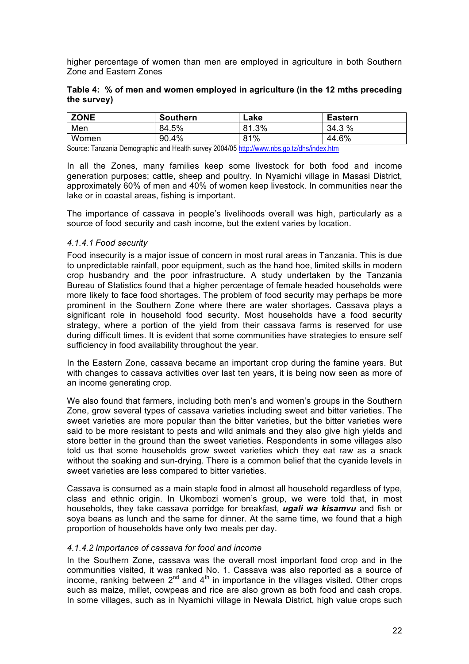higher percentage of women than men are employed in agriculture in both Southern Zone and Eastern Zones

|             |  | Table 4: % of men and women employed in agriculture (in the 12 mths preceding |  |  |
|-------------|--|-------------------------------------------------------------------------------|--|--|
| the survey) |  |                                                                               |  |  |

| <b>ZONE</b> | <b>Southern</b> | Lake  | <b>Eastern</b> |
|-------------|-----------------|-------|----------------|
| Men         | 84.5%           | 81.3% | 34.3 %         |
| Women       | 90.4%           | 81%   | 44.6%          |

Source: Tanzania Demographic and Health survey 2004/05 http://www.nbs.go.tz/dhs/index.htm

In all the Zones, many families keep some livestock for both food and income generation purposes; cattle, sheep and poultry. In Nyamichi village in Masasi District, approximately 60% of men and 40% of women keep livestock. In communities near the lake or in coastal areas, fishing is important.

The importance of cassava in people's livelihoods overall was high, particularly as a source of food security and cash income, but the extent varies by location.

#### *4.1.4.1 Food security*

Food insecurity is a major issue of concern in most rural areas in Tanzania. This is due to unpredictable rainfall, poor equipment, such as the hand hoe, limited skills in modern crop husbandry and the poor infrastructure. A study undertaken by the Tanzania Bureau of Statistics found that a higher percentage of female headed households were more likely to face food shortages. The problem of food security may perhaps be more prominent in the Southern Zone where there are water shortages. Cassava plays a significant role in household food security. Most households have a food security strategy, where a portion of the yield from their cassava farms is reserved for use during difficult times. It is evident that some communities have strategies to ensure self sufficiency in food availability throughout the year.

In the Eastern Zone, cassava became an important crop during the famine years. But with changes to cassava activities over last ten years, it is being now seen as more of an income generating crop.

We also found that farmers, including both men's and women's groups in the Southern Zone, grow several types of cassava varieties including sweet and bitter varieties. The sweet varieties are more popular than the bitter varieties, but the bitter varieties were said to be more resistant to pests and wild animals and they also give high yields and store better in the ground than the sweet varieties. Respondents in some villages also told us that some households grow sweet varieties which they eat raw as a snack without the soaking and sun-drying. There is a common belief that the cyanide levels in sweet varieties are less compared to bitter varieties.

Cassava is consumed as a main staple food in almost all household regardless of type, class and ethnic origin. In Ukombozi women's group, we were told that, in most households, they take cassava porridge for breakfast, *ugali wa kisamvu* and fish or soya beans as lunch and the same for dinner. At the same time, we found that a high proportion of households have only two meals per day.

#### *4.1.4.2 Importance of cassava for food and income*

In the Southern Zone, cassava was the overall most important food crop and in the communities visited, it was ranked No. 1. Cassava was also reported as a source of income, ranking between  $2^{nd}$  and  $4^{th}$  in importance in the villages visited. Other crops such as maize, millet, cowpeas and rice are also grown as both food and cash crops. In some villages, such as in Nyamichi village in Newala District, high value crops such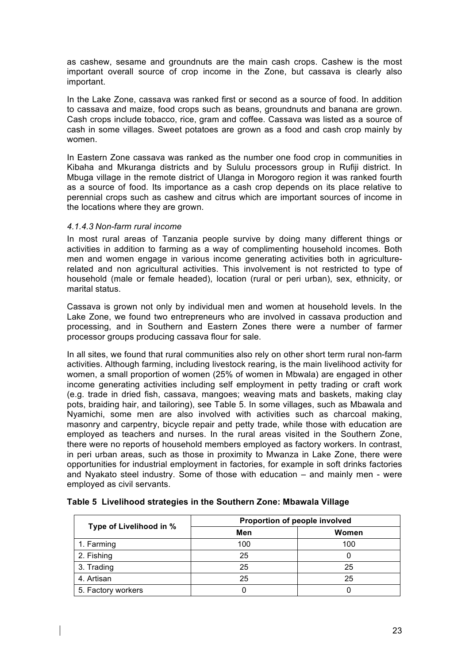as cashew, sesame and groundnuts are the main cash crops. Cashew is the most important overall source of crop income in the Zone, but cassava is clearly also important.

In the Lake Zone, cassava was ranked first or second as a source of food. In addition to cassava and maize, food crops such as beans, groundnuts and banana are grown. Cash crops include tobacco, rice, gram and coffee. Cassava was listed as a source of cash in some villages. Sweet potatoes are grown as a food and cash crop mainly by women.

In Eastern Zone cassava was ranked as the number one food crop in communities in Kibaha and Mkuranga districts and by Sululu processors group in Rufiji district. In Mbuga village in the remote district of Ulanga in Morogoro region it was ranked fourth as a source of food. Its importance as a cash crop depends on its place relative to perennial crops such as cashew and citrus which are important sources of income in the locations where they are grown.

#### *4.1.4.3 Non-farm rural income*

In most rural areas of Tanzania people survive by doing many different things or activities in addition to farming as a way of complimenting household incomes. Both men and women engage in various income generating activities both in agriculturerelated and non agricultural activities. This involvement is not restricted to type of household (male or female headed), location (rural or peri urban), sex, ethnicity, or marital status.

Cassava is grown not only by individual men and women at household levels. In the Lake Zone, we found two entrepreneurs who are involved in cassava production and processing, and in Southern and Eastern Zones there were a number of farmer processor groups producing cassava flour for sale.

In all sites, we found that rural communities also rely on other short term rural non-farm activities. Although farming, including livestock rearing, is the main livelihood activity for women, a small proportion of women (25% of women in Mbwala) are engaged in other income generating activities including self employment in petty trading or craft work (e.g. trade in dried fish, cassava, mangoes; weaving mats and baskets, making clay pots, braiding hair, and tailoring), see Table 5. In some villages, such as Mbawala and Nyamichi, some men are also involved with activities such as charcoal making, masonry and carpentry, bicycle repair and petty trade, while those with education are employed as teachers and nurses. In the rural areas visited in the Southern Zone, there were no reports of household members employed as factory workers. In contrast, in peri urban areas, such as those in proximity to Mwanza in Lake Zone, there were opportunities for industrial employment in factories, for example in soft drinks factories and Nyakato steel industry. Some of those with education – and mainly men - were employed as civil servants.

|                         | Proportion of people involved |       |  |  |  |
|-------------------------|-------------------------------|-------|--|--|--|
| Type of Livelihood in % | Men                           | Women |  |  |  |
| 1. Farming              | 100                           | 100   |  |  |  |
| 2. Fishing              | 25                            |       |  |  |  |
| 3. Trading              | 25                            | 25    |  |  |  |
| 4. Artisan              | 25                            | 25    |  |  |  |
| 5. Factory workers      |                               |       |  |  |  |

#### **Table 5 Livelihood strategies in the Southern Zone: Mbawala Village**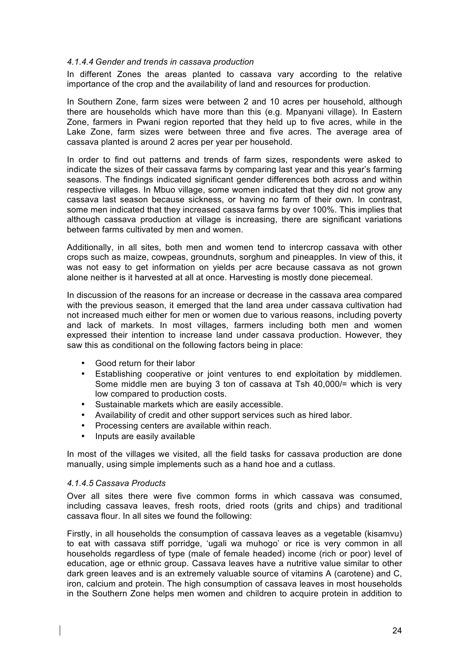#### *4.1.4.4 Gender and trends in cassava production*

In different Zones the areas planted to cassava vary according to the relative importance of the crop and the availability of land and resources for production.

In Southern Zone, farm sizes were between 2 and 10 acres per household, although there are households which have more than this (e.g. Mpanyani village). In Eastern Zone, farmers in Pwani region reported that they held up to five acres, while in the Lake Zone, farm sizes were between three and five acres. The average area of cassava planted is around 2 acres per year per household.

In order to find out patterns and trends of farm sizes, respondents were asked to indicate the sizes of their cassava farms by comparing last year and this year's farming seasons. The findings indicated significant gender differences both across and within respective villages. In Mbuo village, some women indicated that they did not grow any cassava last season because sickness, or having no farm of their own. In contrast, some men indicated that they increased cassava farms by over 100%. This implies that although cassava production at village is increasing, there are significant variations between farms cultivated by men and women.

Additionally, in all sites, both men and women tend to intercrop cassava with other crops such as maize, cowpeas, groundnuts, sorghum and pineapples. In view of this, it was not easy to get information on yields per acre because cassava as not grown alone neither is it harvested at all at once. Harvesting is mostly done piecemeal.

In discussion of the reasons for an increase or decrease in the cassava area compared with the previous season, it emerged that the land area under cassava cultivation had not increased much either for men or women due to various reasons, including poverty and lack of markets. In most villages, farmers including both men and women expressed their intention to increase land under cassava production. However, they saw this as conditional on the following factors being in place:

- Good return for their labor
- Establishing cooperative or joint ventures to end exploitation by middlemen. Some middle men are buying 3 ton of cassava at Tsh 40,000/= which is very low compared to production costs.
- Sustainable markets which are easily accessible.
- Availability of credit and other support services such as hired labor.
- Processing centers are available within reach.
- Inputs are easily available

In most of the villages we visited, all the field tasks for cassava production are done manually, using simple implements such as a hand hoe and a cutlass.

#### *4.1.4.5 Cassava Products*

Over all sites there were five common forms in which cassava was consumed, including cassava leaves, fresh roots, dried roots (grits and chips) and traditional cassava flour. In all sites we found the following:

Firstly, in all households the consumption of cassava leaves as a vegetable (kisamvu) to eat with cassava stiff porridge, 'ugali wa muhogo' or rice is very common in all households regardless of type (male of female headed) income (rich or poor) level of education, age or ethnic group. Cassava leaves have a nutritive value similar to other dark green leaves and is an extremely valuable source of vitamins A (carotene) and C, iron, calcium and protein. The high consumption of cassava leaves in most households in the Southern Zone helps men women and children to acquire protein in addition to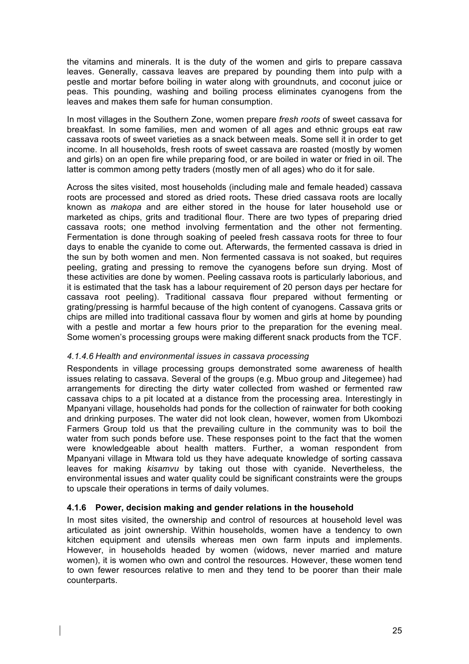the vitamins and minerals. It is the duty of the women and girls to prepare cassava leaves. Generally, cassava leaves are prepared by pounding them into pulp with a pestle and mortar before boiling in water along with groundnuts, and coconut juice or peas. This pounding, washing and boiling process eliminates cyanogens from the leaves and makes them safe for human consumption.

In most villages in the Southern Zone, women prepare *fresh roots* of sweet cassava for breakfast. In some families, men and women of all ages and ethnic groups eat raw cassava roots of sweet varieties as a snack between meals. Some sell it in order to get income. In all households, fresh roots of sweet cassava are roasted (mostly by women and girls) on an open fire while preparing food, or are boiled in water or fried in oil. The latter is common among petty traders (mostly men of all ages) who do it for sale.

Across the sites visited, most households (including male and female headed) cassava roots are processed and stored as dried roots*.* These dried cassava roots are locally known as *makopa* and are either stored in the house for later household use or marketed as chips, grits and traditional flour. There are two types of preparing dried cassava roots; one method involving fermentation and the other not fermenting. Fermentation is done through soaking of peeled fresh cassava roots for three to four days to enable the cyanide to come out. Afterwards, the fermented cassava is dried in the sun by both women and men. Non fermented cassava is not soaked, but requires peeling, grating and pressing to remove the cyanogens before sun drying. Most of these activities are done by women. Peeling cassava roots is particularly laborious, and it is estimated that the task has a labour requirement of 20 person days per hectare for cassava root peeling). Traditional cassava flour prepared without fermenting or grating/pressing is harmful because of the high content of cyanogens. Cassava grits or chips are milled into traditional cassava flour by women and girls at home by pounding with a pestle and mortar a few hours prior to the preparation for the evening meal. Some women's processing groups were making different snack products from the TCF.

## *4.1.4.6 Health and environmental issues in cassava processing*

Respondents in village processing groups demonstrated some awareness of health issues relating to cassava. Several of the groups (e.g. Mbuo group and Jitegemee) had arrangements for directing the dirty water collected from washed or fermented raw cassava chips to a pit located at a distance from the processing area. Interestingly in Mpanyani village, households had ponds for the collection of rainwater for both cooking and drinking purposes. The water did not look clean, however, women from Ukombozi Farmers Group told us that the prevailing culture in the community was to boil the water from such ponds before use. These responses point to the fact that the women were knowledgeable about health matters. Further, a woman respondent from Mpanyani village in Mtwara told us they have adequate knowledge of sorting cassava leaves for making *kisamvu* by taking out those with cyanide. Nevertheless, the environmental issues and water quality could be significant constraints were the groups to upscale their operations in terms of daily volumes.

## **4.1.6 Power, decision making and gender relations in the household**

In most sites visited, the ownership and control of resources at household level was articulated as joint ownership. Within households, women have a tendency to own kitchen equipment and utensils whereas men own farm inputs and implements. However, in households headed by women (widows, never married and mature women), it is women who own and control the resources. However, these women tend to own fewer resources relative to men and they tend to be poorer than their male counterparts.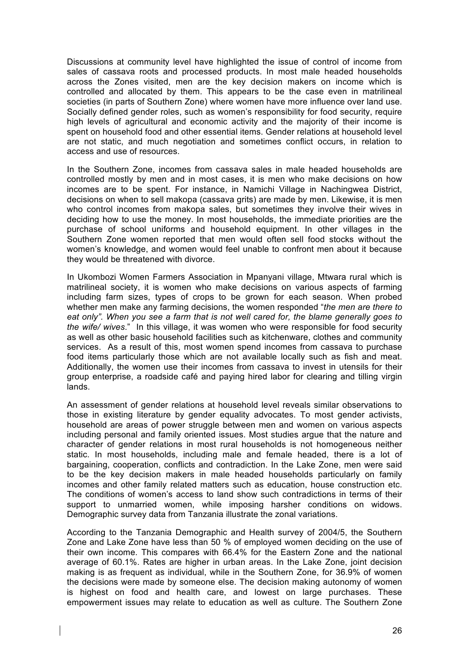Discussions at community level have highlighted the issue of control of income from sales of cassava roots and processed products. In most male headed households across the Zones visited, men are the key decision makers on income which is controlled and allocated by them. This appears to be the case even in matrilineal societies (in parts of Southern Zone) where women have more influence over land use. Socially defined gender roles, such as women's responsibility for food security, require high levels of agricultural and economic activity and the majority of their income is spent on household food and other essential items. Gender relations at household level are not static, and much negotiation and sometimes conflict occurs, in relation to access and use of resources.

In the Southern Zone, incomes from cassava sales in male headed households are controlled mostly by men and in most cases, it is men who make decisions on how incomes are to be spent. For instance, in Namichi Village in Nachingwea District, decisions on when to sell makopa (cassava grits) are made by men. Likewise, it is men who control incomes from makopa sales, but sometimes they involve their wives in deciding how to use the money. In most households, the immediate priorities are the purchase of school uniforms and household equipment. In other villages in the Southern Zone women reported that men would often sell food stocks without the women's knowledge, and women would feel unable to confront men about it because they would be threatened with divorce.

In Ukombozi Women Farmers Association in Mpanyani village, Mtwara rural which is matrilineal society, it is women who make decisions on various aspects of farming including farm sizes, types of crops to be grown for each season. When probed whether men make any farming decisions, the women responded "*the men are there to eat only". When you see a farm that is not well cared for, the blame generally goes to the wife/ wives*." In this village, it was women who were responsible for food security as well as other basic household facilities such as kitchenware, clothes and community services. As a result of this, most women spend incomes from cassava to purchase food items particularly those which are not available locally such as fish and meat. Additionally, the women use their incomes from cassava to invest in utensils for their group enterprise, a roadside café and paying hired labor for clearing and tilling virgin lands.

An assessment of gender relations at household level reveals similar observations to those in existing literature by gender equality advocates. To most gender activists, household are areas of power struggle between men and women on various aspects including personal and family oriented issues. Most studies argue that the nature and character of gender relations in most rural households is not homogeneous neither static. In most households, including male and female headed, there is a lot of bargaining, cooperation, conflicts and contradiction. In the Lake Zone, men were said to be the key decision makers in male headed households particularly on family incomes and other family related matters such as education, house construction etc. The conditions of women's access to land show such contradictions in terms of their support to unmarried women, while imposing harsher conditions on widows. Demographic survey data from Tanzania illustrate the zonal variations.

According to the Tanzania Demographic and Health survey of 2004/5, the Southern Zone and Lake Zone have less than 50 % of employed women deciding on the use of their own income. This compares with 66.4% for the Eastern Zone and the national average of 60.1%. Rates are higher in urban areas. In the Lake Zone, joint decision making is as frequent as individual, while in the Southern Zone, for 36.9% of women the decisions were made by someone else. The decision making autonomy of women is highest on food and health care, and lowest on large purchases. These empowerment issues may relate to education as well as culture. The Southern Zone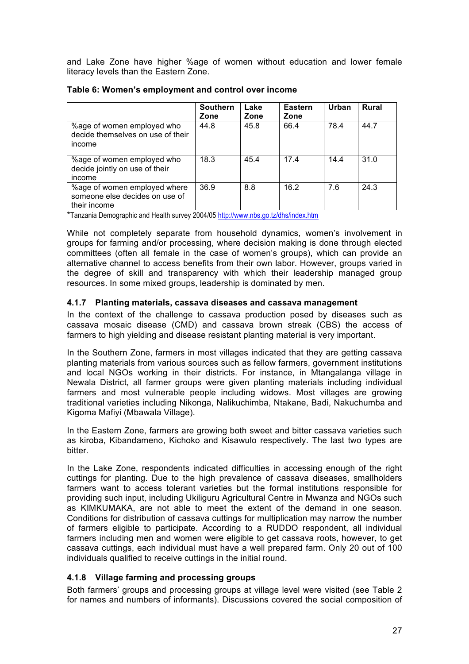and Lake Zone have higher %age of women without education and lower female literacy levels than the Eastern Zone.

|                                                                                | <b>Southern</b><br>Zone | Lake<br>Zone | <b>Eastern</b><br>Zone | Urban | <b>Rural</b> |
|--------------------------------------------------------------------------------|-------------------------|--------------|------------------------|-------|--------------|
| %age of women employed who<br>decide themselves on use of their<br>income      | 44.8                    | 45.8         | 66.4                   | 78.4  | 44.7         |
| %age of women employed who<br>decide jointly on use of their<br>income         | 18.3                    | 45.4         | 17.4                   | 14.4  | 31.0         |
| %age of women employed where<br>someone else decides on use of<br>their income | 36.9                    | 8.8          | 16.2                   | 7.6   | 24.3         |

#### **Table 6: Women's employment and control over income**

\*Tanzania Demographic and Health survey 2004/05 http://www.nbs.go.tz/dhs/index.htm

While not completely separate from household dynamics, women's involvement in groups for farming and/or processing, where decision making is done through elected committees (often all female in the case of women's groups), which can provide an alternative channel to access benefits from their own labor. However, groups varied in the degree of skill and transparency with which their leadership managed group resources. In some mixed groups, leadership is dominated by men.

## **4.1.7 Planting materials, cassava diseases and cassava management**

In the context of the challenge to cassava production posed by diseases such as cassava mosaic disease (CMD) and cassava brown streak (CBS) the access of farmers to high yielding and disease resistant planting material is very important.

In the Southern Zone, farmers in most villages indicated that they are getting cassava planting materials from various sources such as fellow farmers, government institutions and local NGOs working in their districts. For instance, in Mtangalanga village in Newala District, all farmer groups were given planting materials including individual farmers and most vulnerable people including widows. Most villages are growing traditional varieties including Nikonga, Nalikuchimba, Ntakane, Badi, Nakuchumba and Kigoma Mafiyi (Mbawala Village).

In the Eastern Zone, farmers are growing both sweet and bitter cassava varieties such as kiroba, Kibandameno, Kichoko and Kisawulo respectively. The last two types are bitter.

In the Lake Zone, respondents indicated difficulties in accessing enough of the right cuttings for planting. Due to the high prevalence of cassava diseases, smallholders farmers want to access tolerant varieties but the formal institutions responsible for providing such input, including Ukiliguru Agricultural Centre in Mwanza and NGOs such as KIMKUMAKA, are not able to meet the extent of the demand in one season. Conditions for distribution of cassava cuttings for multiplication may narrow the number of farmers eligible to participate. According to a RUDDO respondent, all individual farmers including men and women were eligible to get cassava roots, however, to get cassava cuttings, each individual must have a well prepared farm. Only 20 out of 100 individuals qualified to receive cuttings in the initial round.

# **4.1.8 Village farming and processing groups**

Both farmers' groups and processing groups at village level were visited (see Table 2 for names and numbers of informants). Discussions covered the social composition of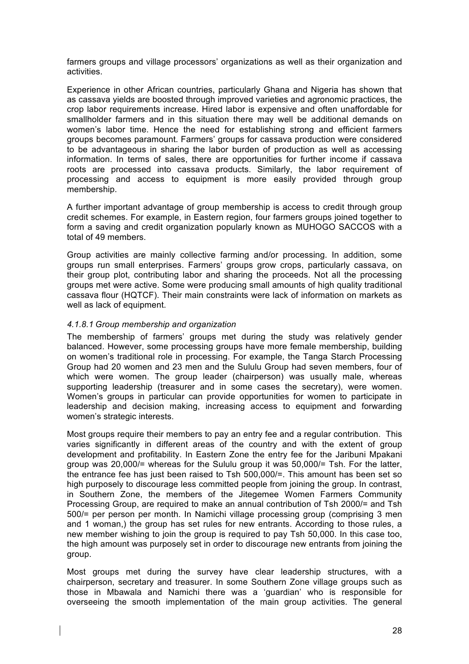farmers groups and village processors' organizations as well as their organization and activities.

Experience in other African countries, particularly Ghana and Nigeria has shown that as cassava yields are boosted through improved varieties and agronomic practices, the crop labor requirements increase. Hired labor is expensive and often unaffordable for smallholder farmers and in this situation there may well be additional demands on women's labor time. Hence the need for establishing strong and efficient farmers groups becomes paramount. Farmers' groups for cassava production were considered to be advantageous in sharing the labor burden of production as well as accessing information. In terms of sales, there are opportunities for further income if cassava roots are processed into cassava products. Similarly, the labor requirement of processing and access to equipment is more easily provided through group membership.

A further important advantage of group membership is access to credit through group credit schemes. For example, in Eastern region, four farmers groups joined together to form a saving and credit organization popularly known as MUHOGO SACCOS with a total of 49 members.

Group activities are mainly collective farming and/or processing. In addition, some groups run small enterprises. Farmers' groups grow crops, particularly cassava, on their group plot, contributing labor and sharing the proceeds. Not all the processing groups met were active. Some were producing small amounts of high quality traditional cassava flour (HQTCF). Their main constraints were lack of information on markets as well as lack of equipment.

#### *4.1.8.1 Group membership and organization*

The membership of farmers' groups met during the study was relatively gender balanced. However, some processing groups have more female membership, building on women's traditional role in processing. For example, the Tanga Starch Processing Group had 20 women and 23 men and the Sululu Group had seven members, four of which were women. The group leader (chairperson) was usually male, whereas supporting leadership (treasurer and in some cases the secretary), were women. Women's groups in particular can provide opportunities for women to participate in leadership and decision making, increasing access to equipment and forwarding women's strategic interests.

Most groups require their members to pay an entry fee and a regular contribution. This varies significantly in different areas of the country and with the extent of group development and profitability. In Eastern Zone the entry fee for the Jaribuni Mpakani group was 20,000/= whereas for the Sululu group it was 50,000/= Tsh. For the latter, the entrance fee has just been raised to Tsh 500,000/=. This amount has been set so high purposely to discourage less committed people from joining the group. In contrast, in Southern Zone, the members of the Jitegemee Women Farmers Community Processing Group, are required to make an annual contribution of Tsh 2000/= and Tsh 500/= per person per month. In Namichi village processing group (comprising 3 men and 1 woman,) the group has set rules for new entrants. According to those rules, a new member wishing to join the group is required to pay Tsh 50,000. In this case too, the high amount was purposely set in order to discourage new entrants from joining the group.

Most groups met during the survey have clear leadership structures, with a chairperson, secretary and treasurer. In some Southern Zone village groups such as those in Mbawala and Namichi there was a 'guardian' who is responsible for overseeing the smooth implementation of the main group activities. The general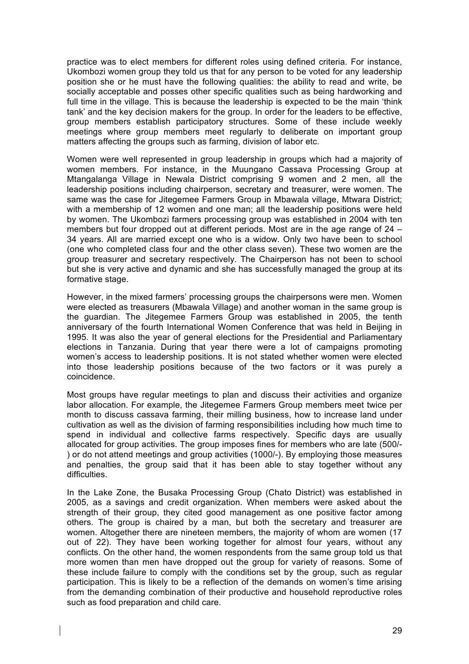practice was to elect members for different roles using defined criteria. For instance, Ukombozi women group they told us that for any person to be voted for any leadership position she or he must have the following qualities: the ability to read and write, be socially acceptable and posses other specific qualities such as being hardworking and full time in the village. This is because the leadership is expected to be the main 'think tank' and the key decision makers for the group. In order for the leaders to be effective, group members establish participatory structures. Some of these include weekly meetings where group members meet regularly to deliberate on important group matters affecting the groups such as farming, division of labor etc.

Women were well represented in group leadership in groups which had a majority of women members. For instance, in the Muungano Cassava Processing Group at Mtangalanga Village in Newala District comprising 9 women and 2 men, all the leadership positions including chairperson, secretary and treasurer, were women. The same was the case for Jitegemee Farmers Group in Mbawala village, Mtwara District; with a membership of 12 women and one man; all the leadership positions were held by women. The Ukombozi farmers processing group was established in 2004 with ten members but four dropped out at different periods. Most are in the age range of 24 – 34 years. All are married except one who is a widow. Only two have been to school (one who completed class four and the other class seven). These two women are the group treasurer and secretary respectively. The Chairperson has not been to school but she is very active and dynamic and she has successfully managed the group at its formative stage.

However, in the mixed farmers' processing groups the chairpersons were men. Women were elected as treasurers (Mbawala Village) and another woman in the same group is the guardian. The Jitegemee Farmers Group was established in 2005, the tenth anniversary of the fourth International Women Conference that was held in Beijing in 1995. It was also the year of general elections for the Presidential and Parliamentary elections in Tanzania. During that year there were a lot of campaigns promoting women's access to leadership positions. It is not stated whether women were elected into those leadership positions because of the two factors or it was purely a coincidence.

Most groups have regular meetings to plan and discuss their activities and organize labor allocation. For example, the Jitegemee Farmers Group members meet twice per month to discuss cassava farming, their milling business, how to increase land under cultivation as well as the division of farming responsibilities including how much time to spend in individual and collective farms respectively. Specific days are usually allocated for group activities. The group imposes fines for members who are late (500/- ) or do not attend meetings and group activities (1000/-). By employing those measures and penalties, the group said that it has been able to stay together without any difficulties.

In the Lake Zone, the Busaka Processing Group (Chato District) was established in 2005, as a savings and credit organization. When members were asked about the strength of their group, they cited good management as one positive factor among others. The group is chaired by a man, but both the secretary and treasurer are women. Altogether there are nineteen members, the majority of whom are women (17 out of 22). They have been working together for almost four years, without any conflicts. On the other hand, the women respondents from the same group told us that more women than men have dropped out the group for variety of reasons. Some of these include failure to comply with the conditions set by the group, such as regular participation. This is likely to be a reflection of the demands on women's time arising from the demanding combination of their productive and household reproductive roles such as food preparation and child care.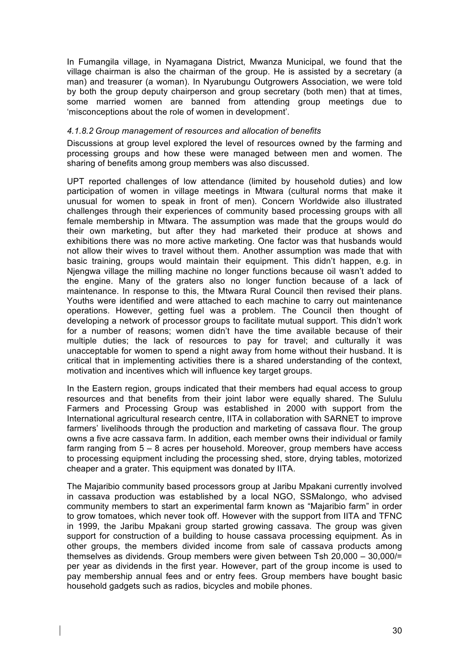In Fumangila village, in Nyamagana District, Mwanza Municipal, we found that the village chairman is also the chairman of the group. He is assisted by a secretary (a man) and treasurer (a woman). In Nyarubungu Outgrowers Association, we were told by both the group deputy chairperson and group secretary (both men) that at times, some married women are banned from attending group meetings due to 'misconceptions about the role of women in development'.

#### *4.1.8.2 Group management of resources and allocation of benefits*

Discussions at group level explored the level of resources owned by the farming and processing groups and how these were managed between men and women. The sharing of benefits among group members was also discussed.

UPT reported challenges of low attendance (limited by household duties) and low participation of women in village meetings in Mtwara (cultural norms that make it unusual for women to speak in front of men). Concern Worldwide also illustrated challenges through their experiences of community based processing groups with all female membership in Mtwara. The assumption was made that the groups would do their own marketing, but after they had marketed their produce at shows and exhibitions there was no more active marketing. One factor was that husbands would not allow their wives to travel without them. Another assumption was made that with basic training, groups would maintain their equipment. This didn't happen, e.g. in Njengwa village the milling machine no longer functions because oil wasn't added to the engine. Many of the graters also no longer function because of a lack of maintenance. In response to this, the Mtwara Rural Council then revised their plans. Youths were identified and were attached to each machine to carry out maintenance operations. However, getting fuel was a problem. The Council then thought of developing a network of processor groups to facilitate mutual support. This didn't work for a number of reasons; women didn't have the time available because of their multiple duties; the lack of resources to pay for travel; and culturally it was unacceptable for women to spend a night away from home without their husband. It is critical that in implementing activities there is a shared understanding of the context, motivation and incentives which will influence key target groups.

In the Eastern region, groups indicated that their members had equal access to group resources and that benefits from their joint labor were equally shared. The Sululu Farmers and Processing Group was established in 2000 with support from the International agricultural research centre, IITA in collaboration with SARNET to improve farmers' livelihoods through the production and marketing of cassava flour. The group owns a five acre cassava farm. In addition, each member owns their individual or family farm ranging from 5 – 8 acres per household. Moreover, group members have access to processing equipment including the processing shed, store, drying tables, motorized cheaper and a grater. This equipment was donated by IITA.

The Majaribio community based processors group at Jaribu Mpakani currently involved in cassava production was established by a local NGO, SSMalongo, who advised community members to start an experimental farm known as "Majaribio farm" in order to grow tomatoes, which never took off. However with the support from IITA and TFNC in 1999, the Jaribu Mpakani group started growing cassava. The group was given support for construction of a building to house cassava processing equipment. As in other groups, the members divided income from sale of cassava products among themselves as dividends. Group members were given between Tsh 20,000 – 30,000/= per year as dividends in the first year. However, part of the group income is used to pay membership annual fees and or entry fees. Group members have bought basic household gadgets such as radios, bicycles and mobile phones.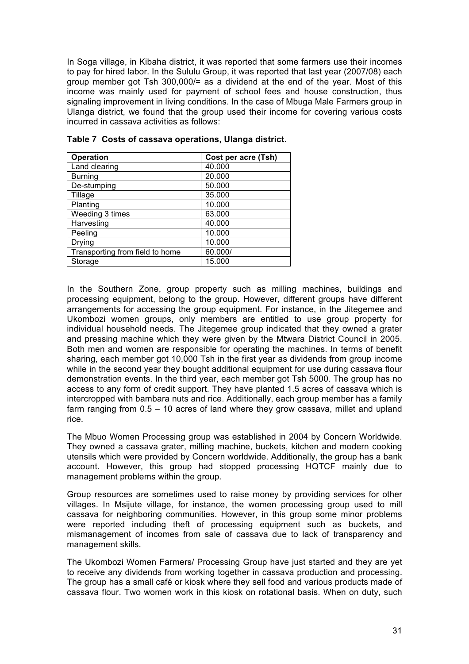In Soga village, in Kibaha district, it was reported that some farmers use their incomes to pay for hired labor. In the Sululu Group, it was reported that last year (2007/08) each group member got Tsh 300,000/= as a dividend at the end of the year. Most of this income was mainly used for payment of school fees and house construction, thus signaling improvement in living conditions. In the case of Mbuga Male Farmers group in Ulanga district, we found that the group used their income for covering various costs incurred in cassava activities as follows:

| <b>Operation</b>                | Cost per acre (Tsh) |
|---------------------------------|---------------------|
| Land clearing                   | 40.000              |
| <b>Burning</b>                  | 20.000              |
| De-stumping                     | 50.000              |
| Tillage                         | 35.000              |
| Planting                        | 10.000              |
| Weeding 3 times                 | 63.000              |
| Harvesting                      | 40.000              |
| Peeling                         | 10.000              |
| Drying                          | 10.000              |
| Transporting from field to home | 60.000/             |
| Storage                         | 15.000              |

**Table 7 Costs of cassava operations, Ulanga district.** 

In the Southern Zone, group property such as milling machines, buildings and processing equipment, belong to the group. However, different groups have different arrangements for accessing the group equipment. For instance, in the Jitegemee and Ukombozi women groups, only members are entitled to use group property for individual household needs. The Jitegemee group indicated that they owned a grater and pressing machine which they were given by the Mtwara District Council in 2005. Both men and women are responsible for operating the machines. In terms of benefit sharing, each member got 10,000 Tsh in the first year as dividends from group income while in the second year they bought additional equipment for use during cassava flour demonstration events. In the third year, each member got Tsh 5000. The group has no access to any form of credit support. They have planted 1.5 acres of cassava which is intercropped with bambara nuts and rice. Additionally, each group member has a family farm ranging from 0.5 – 10 acres of land where they grow cassava, millet and upland rice.

The Mbuo Women Processing group was established in 2004 by Concern Worldwide. They owned a cassava grater, milling machine, buckets, kitchen and modern cooking utensils which were provided by Concern worldwide. Additionally, the group has a bank account. However, this group had stopped processing HQTCF mainly due to management problems within the group.

Group resources are sometimes used to raise money by providing services for other villages. In Msijute village, for instance, the women processing group used to mill cassava for neighboring communities. However, in this group some minor problems were reported including theft of processing equipment such as buckets, and mismanagement of incomes from sale of cassava due to lack of transparency and management skills.

The Ukombozi Women Farmers/ Processing Group have just started and they are yet to receive any dividends from working together in cassava production and processing. The group has a small café or kiosk where they sell food and various products made of cassava flour. Two women work in this kiosk on rotational basis. When on duty, such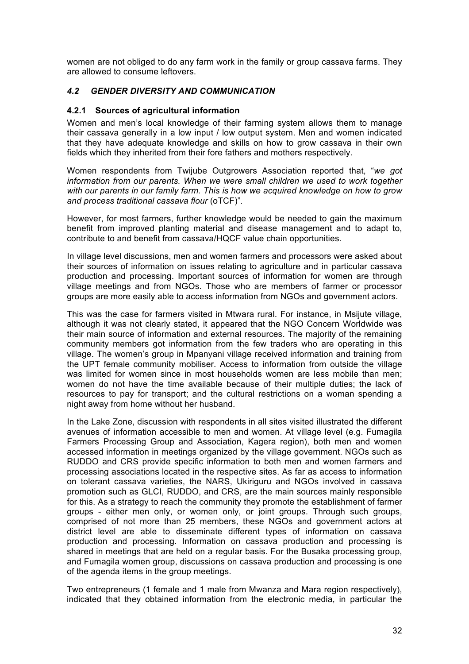women are not obliged to do any farm work in the family or group cassava farms. They are allowed to consume leftovers.

# *4.2 GENDER DIVERSITY AND COMMUNICATION*

#### **4.2.1 Sources of agricultural information**

Women and men's local knowledge of their farming system allows them to manage their cassava generally in a low input / low output system. Men and women indicated that they have adequate knowledge and skills on how to grow cassava in their own fields which they inherited from their fore fathers and mothers respectively.

Women respondents from Twijube Outgrowers Association reported that, "*we got information from our parents. When we were small children we used to work together with our parents in our family farm. This is how we acquired knowledge on how to grow and process traditional cassava flour* (oTCF)".

However, for most farmers, further knowledge would be needed to gain the maximum benefit from improved planting material and disease management and to adapt to, contribute to and benefit from cassava/HQCF value chain opportunities.

In village level discussions, men and women farmers and processors were asked about their sources of information on issues relating to agriculture and in particular cassava production and processing. Important sources of information for women are through village meetings and from NGOs. Those who are members of farmer or processor groups are more easily able to access information from NGOs and government actors.

This was the case for farmers visited in Mtwara rural. For instance, in Msijute village, although it was not clearly stated, it appeared that the NGO Concern Worldwide was their main source of information and external resources. The majority of the remaining community members got information from the few traders who are operating in this village. The women's group in Mpanyani village received information and training from the UPT female community mobiliser. Access to information from outside the village was limited for women since in most households women are less mobile than men; women do not have the time available because of their multiple duties; the lack of resources to pay for transport; and the cultural restrictions on a woman spending a night away from home without her husband.

In the Lake Zone, discussion with respondents in all sites visited illustrated the different avenues of information accessible to men and women. At village level (e.g. Fumagila Farmers Processing Group and Association, Kagera region), both men and women accessed information in meetings organized by the village government. NGOs such as RUDDO and CRS provide specific information to both men and women farmers and processing associations located in the respective sites. As far as access to information on tolerant cassava varieties, the NARS, Ukiriguru and NGOs involved in cassava promotion such as GLCI, RUDDO, and CRS, are the main sources mainly responsible for this. As a strategy to reach the community they promote the establishment of farmer groups - either men only, or women only, or joint groups. Through such groups, comprised of not more than 25 members, these NGOs and government actors at district level are able to disseminate different types of information on cassava production and processing. Information on cassava production and processing is shared in meetings that are held on a regular basis. For the Busaka processing group, and Fumagila women group, discussions on cassava production and processing is one of the agenda items in the group meetings.

Two entrepreneurs (1 female and 1 male from Mwanza and Mara region respectively), indicated that they obtained information from the electronic media, in particular the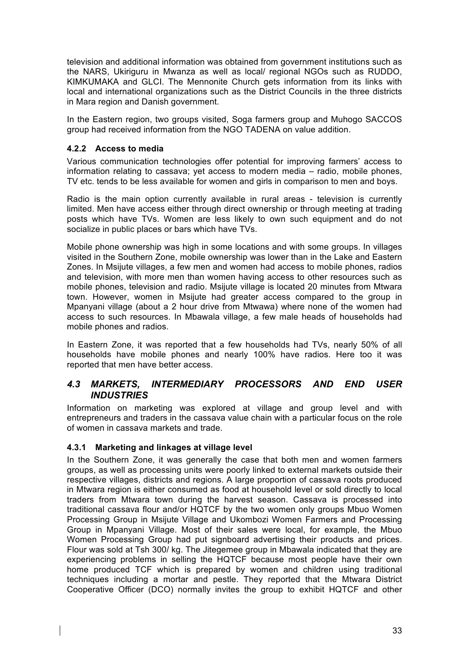television and additional information was obtained from government institutions such as the NARS, Ukiriguru in Mwanza as well as local/ regional NGOs such as RUDDO, KIMKUMAKA and GLCI. The Mennonite Church gets information from its links with local and international organizations such as the District Councils in the three districts in Mara region and Danish government.

In the Eastern region, two groups visited, Soga farmers group and Muhogo SACCOS group had received information from the NGO TADENA on value addition.

# **4.2.2 Access to media**

Various communication technologies offer potential for improving farmers' access to information relating to cassava; yet access to modern media – radio, mobile phones, TV etc. tends to be less available for women and girls in comparison to men and boys.

Radio is the main option currently available in rural areas - television is currently limited. Men have access either through direct ownership or through meeting at trading posts which have TVs. Women are less likely to own such equipment and do not socialize in public places or bars which have TVs.

Mobile phone ownership was high in some locations and with some groups. In villages visited in the Southern Zone, mobile ownership was lower than in the Lake and Eastern Zones. In Msijute villages, a few men and women had access to mobile phones, radios and television, with more men than women having access to other resources such as mobile phones, television and radio. Msijute village is located 20 minutes from Mtwara town. However, women in Msijute had greater access compared to the group in Mpanyani village (about a 2 hour drive from Mtwawa) where none of the women had access to such resources. In Mbawala village, a few male heads of households had mobile phones and radios.

In Eastern Zone, it was reported that a few households had TVs, nearly 50% of all households have mobile phones and nearly 100% have radios. Here too it was reported that men have better access.

# *4.3 MARKETS, INTERMEDIARY PROCESSORS AND END USER INDUSTRIES*

Information on marketing was explored at village and group level and with entrepreneurs and traders in the cassava value chain with a particular focus on the role of women in cassava markets and trade.

## **4.3.1 Marketing and linkages at village level**

In the Southern Zone, it was generally the case that both men and women farmers groups, as well as processing units were poorly linked to external markets outside their respective villages, districts and regions. A large proportion of cassava roots produced in Mtwara region is either consumed as food at household level or sold directly to local traders from Mtwara town during the harvest season. Cassava is processed into traditional cassava flour and/or HQTCF by the two women only groups Mbuo Women Processing Group in Msijute Village and Ukombozi Women Farmers and Processing Group in Mpanyani Village. Most of their sales were local, for example, the Mbuo Women Processing Group had put signboard advertising their products and prices. Flour was sold at Tsh 300/ kg. The Jitegemee group in Mbawala indicated that they are experiencing problems in selling the HQTCF because most people have their own home produced TCF which is prepared by women and children using traditional techniques including a mortar and pestle. They reported that the Mtwara District Cooperative Officer (DCO) normally invites the group to exhibit HQTCF and other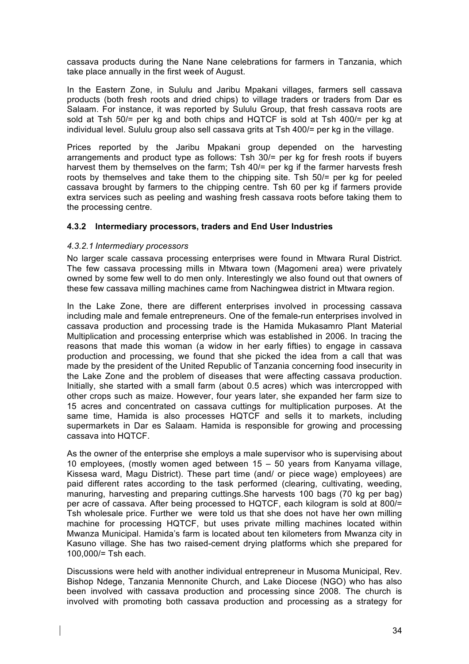cassava products during the Nane Nane celebrations for farmers in Tanzania, which take place annually in the first week of August.

In the Eastern Zone, in Sululu and Jaribu Mpakani villages, farmers sell cassava products (both fresh roots and dried chips) to village traders or traders from Dar es Salaam. For instance, it was reported by Sululu Group, that fresh cassava roots are sold at Tsh 50/= per kg and both chips and HQTCF is sold at Tsh 400/= per kg at individual level. Sululu group also sell cassava grits at Tsh 400/= per kg in the village.

Prices reported by the Jaribu Mpakani group depended on the harvesting arrangements and product type as follows: Tsh 30/= per kg for fresh roots if buyers harvest them by themselves on the farm; Tsh 40/= per kg if the farmer harvests fresh roots by themselves and take them to the chipping site. Tsh 50/= per kg for peeled cassava brought by farmers to the chipping centre. Tsh 60 per kg if farmers provide extra services such as peeling and washing fresh cassava roots before taking them to the processing centre.

# **4.3.2 Intermediary processors, traders and End User Industries**

## *4.3.2.1 Intermediary processors*

No larger scale cassava processing enterprises were found in Mtwara Rural District. The few cassava processing mills in Mtwara town (Magomeni area) were privately owned by some few well to do men only. Interestingly we also found out that owners of these few cassava milling machines came from Nachingwea district in Mtwara region.

In the Lake Zone, there are different enterprises involved in processing cassava including male and female entrepreneurs. One of the female-run enterprises involved in cassava production and processing trade is the Hamida Mukasamro Plant Material Multiplication and processing enterprise which was established in 2006. In tracing the reasons that made this woman (a widow in her early fifties) to engage in cassava production and processing, we found that she picked the idea from a call that was made by the president of the United Republic of Tanzania concerning food insecurity in the Lake Zone and the problem of diseases that were affecting cassava production. Initially, she started with a small farm (about 0.5 acres) which was intercropped with other crops such as maize. However, four years later, she expanded her farm size to 15 acres and concentrated on cassava cuttings for multiplication purposes. At the same time, Hamida is also processes HQTCF and sells it to markets, including supermarkets in Dar es Salaam. Hamida is responsible for growing and processing cassava into HQTCF.

As the owner of the enterprise she employs a male supervisor who is supervising about 10 employees, (mostly women aged between 15 – 50 years from Kanyama village, Kissesa ward, Magu District). These part time (and/ or piece wage) employees) are paid different rates according to the task performed (clearing, cultivating, weeding, manuring, harvesting and preparing cuttings.She harvests 100 bags (70 kg per bag) per acre of cassava. After being processed to HQTCF, each kilogram is sold at 800/= Tsh wholesale price. Further we were told us that she does not have her own milling machine for processing HQTCF, but uses private milling machines located within Mwanza Municipal. Hamida's farm is located about ten kilometers from Mwanza city in Kasuno village. She has two raised-cement drying platforms which she prepared for 100,000/= Tsh each.

Discussions were held with another individual entrepreneur in Musoma Municipal, Rev. Bishop Ndege, Tanzania Mennonite Church, and Lake Diocese (NGO) who has also been involved with cassava production and processing since 2008. The church is involved with promoting both cassava production and processing as a strategy for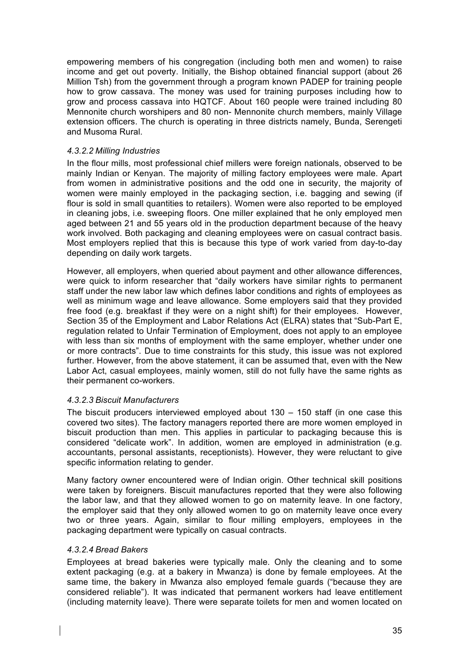empowering members of his congregation (including both men and women) to raise income and get out poverty. Initially, the Bishop obtained financial support (about 26 Million Tsh) from the government through a program known PADEP for training people how to grow cassava. The money was used for training purposes including how to grow and process cassava into HQTCF. About 160 people were trained including 80 Mennonite church worshipers and 80 non- Mennonite church members, mainly Village extension officers. The church is operating in three districts namely, Bunda, Serengeti and Musoma Rural.

#### *4.3.2.2 Milling Industries*

In the flour mills, most professional chief millers were foreign nationals, observed to be mainly Indian or Kenyan. The majority of milling factory employees were male. Apart from women in administrative positions and the odd one in security, the majority of women were mainly employed in the packaging section, i.e. bagging and sewing (if flour is sold in small quantities to retailers). Women were also reported to be employed in cleaning jobs, i.e. sweeping floors. One miller explained that he only employed men aged between 21 and 55 years old in the production department because of the heavy work involved. Both packaging and cleaning employees were on casual contract basis. Most employers replied that this is because this type of work varied from day-to-day depending on daily work targets.

However, all employers, when queried about payment and other allowance differences, were quick to inform researcher that "daily workers have similar rights to permanent staff under the new labor law which defines labor conditions and rights of employees as well as minimum wage and leave allowance. Some employers said that they provided free food (e.g. breakfast if they were on a night shift) for their employees. However, Section 35 of the Employment and Labor Relations Act (ELRA) states that "Sub-Part E, regulation related to Unfair Termination of Employment, does not apply to an employee with less than six months of employment with the same employer, whether under one or more contracts". Due to time constraints for this study, this issue was not explored further. However, from the above statement, it can be assumed that, even with the New Labor Act, casual employees, mainly women, still do not fully have the same rights as their permanent co-workers.

## *4.3.2.3 Biscuit Manufacturers*

The biscuit producers interviewed employed about 130 – 150 staff (in one case this covered two sites). The factory managers reported there are more women employed in biscuit production than men. This applies in particular to packaging because this is considered "delicate work". In addition, women are employed in administration (e.g. accountants, personal assistants, receptionists). However, they were reluctant to give specific information relating to gender.

Many factory owner encountered were of Indian origin. Other technical skill positions were taken by foreigners. Biscuit manufactures reported that they were also following the labor law, and that they allowed women to go on maternity leave. In one factory, the employer said that they only allowed women to go on maternity leave once every two or three years. Again, similar to flour milling employers, employees in the packaging department were typically on casual contracts.

## *4.3.2.4 Bread Bakers*

Employees at bread bakeries were typically male. Only the cleaning and to some extent packaging (e.g. at a bakery in Mwanza) is done by female employees. At the same time, the bakery in Mwanza also employed female guards ("because they are considered reliable"). It was indicated that permanent workers had leave entitlement (including maternity leave). There were separate toilets for men and women located on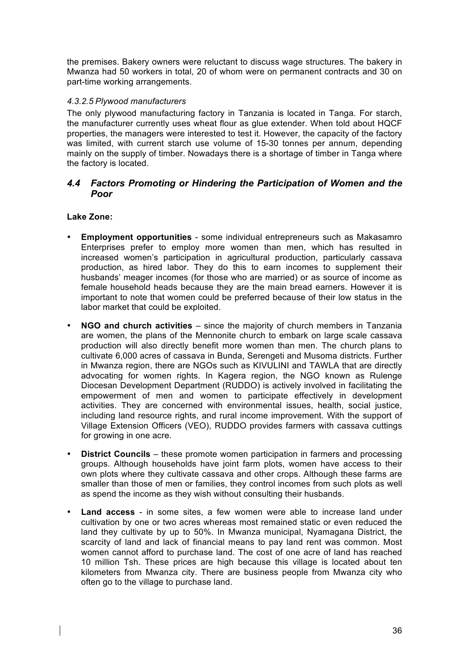the premises. Bakery owners were reluctant to discuss wage structures. The bakery in Mwanza had 50 workers in total, 20 of whom were on permanent contracts and 30 on part-time working arrangements.

## *4.3.2.5 Plywood manufacturers*

The only plywood manufacturing factory in Tanzania is located in Tanga. For starch, the manufacturer currently uses wheat flour as glue extender. When told about HQCF properties, the managers were interested to test it. However, the capacity of the factory was limited, with current starch use volume of 15-30 tonnes per annum, depending mainly on the supply of timber. Nowadays there is a shortage of timber in Tanga where the factory is located.

# *4.4 Factors Promoting or Hindering the Participation of Women and the Poor*

# **Lake Zone:**

- **Employment opportunities** some individual entrepreneurs such as Makasamro Enterprises prefer to employ more women than men, which has resulted in increased women's participation in agricultural production, particularly cassava production, as hired labor. They do this to earn incomes to supplement their husbands' meager incomes (for those who are married) or as source of income as female household heads because they are the main bread earners. However it is important to note that women could be preferred because of their low status in the labor market that could be exploited.
- **NGO and church activities** since the majority of church members in Tanzania are women, the plans of the Mennonite church to embark on large scale cassava production will also directly benefit more women than men. The church plans to cultivate 6,000 acres of cassava in Bunda, Serengeti and Musoma districts. Further in Mwanza region, there are NGOs such as KIVULINI and TAWLA that are directly advocating for women rights. In Kagera region, the NGO known as Rulenge Diocesan Development Department (RUDDO) is actively involved in facilitating the empowerment of men and women to participate effectively in development activities. They are concerned with environmental issues, health, social justice, including land resource rights, and rural income improvement. With the support of Village Extension Officers (VEO), RUDDO provides farmers with cassava cuttings for growing in one acre.
- **District Councils** these promote women participation in farmers and processing groups. Although households have joint farm plots, women have access to their own plots where they cultivate cassava and other crops. Although these farms are smaller than those of men or families, they control incomes from such plots as well as spend the income as they wish without consulting their husbands.
- **Land access** in some sites, a few women were able to increase land under cultivation by one or two acres whereas most remained static or even reduced the land they cultivate by up to 50%. In Mwanza municipal, Nyamagana District, the scarcity of land and lack of financial means to pay land rent was common. Most women cannot afford to purchase land. The cost of one acre of land has reached 10 million Tsh. These prices are high because this village is located about ten kilometers from Mwanza city. There are business people from Mwanza city who often go to the village to purchase land.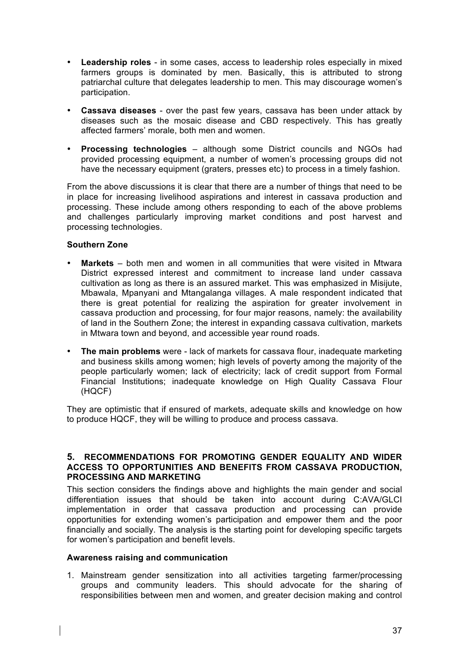- **Leadership roles** in some cases, access to leadership roles especially in mixed farmers groups is dominated by men. Basically, this is attributed to strong patriarchal culture that delegates leadership to men. This may discourage women's participation.
- **Cassava diseases** over the past few years, cassava has been under attack by diseases such as the mosaic disease and CBD respectively. This has greatly affected farmers' morale, both men and women.
- **Processing technologies**  although some District councils and NGOs had provided processing equipment, a number of women's processing groups did not have the necessary equipment (graters, presses etc) to process in a timely fashion.

From the above discussions it is clear that there are a number of things that need to be in place for increasing livelihood aspirations and interest in cassava production and processing. These include among others responding to each of the above problems and challenges particularly improving market conditions and post harvest and processing technologies.

# **Southern Zone**

- **Markets** both men and women in all communities that were visited in Mtwara District expressed interest and commitment to increase land under cassava cultivation as long as there is an assured market. This was emphasized in Misijute, Mbawala, Mpanyani and Mtangalanga villages. A male respondent indicated that there is great potential for realizing the aspiration for greater involvement in cassava production and processing, for four major reasons, namely: the availability of land in the Southern Zone; the interest in expanding cassava cultivation, markets in Mtwara town and beyond, and accessible year round roads.
- **The main problems** were lack of markets for cassava flour, inadequate marketing and business skills among women; high levels of poverty among the majority of the people particularly women; lack of electricity; lack of credit support from Formal Financial Institutions; inadequate knowledge on High Quality Cassava Flour (HQCF)

They are optimistic that if ensured of markets, adequate skills and knowledge on how to produce HQCF, they will be willing to produce and process cassava.

#### **5. RECOMMENDATIONS FOR PROMOTING GENDER EQUALITY AND WIDER ACCESS TO OPPORTUNITIES AND BENEFITS FROM CASSAVA PRODUCTION, PROCESSING AND MARKETING**

This section considers the findings above and highlights the main gender and social differentiation issues that should be taken into account during C:AVA/GLCI implementation in order that cassava production and processing can provide opportunities for extending women's participation and empower them and the poor financially and socially. The analysis is the starting point for developing specific targets for women's participation and benefit levels.

## **Awareness raising and communication**

1. Mainstream gender sensitization into all activities targeting farmer/processing groups and community leaders. This should advocate for the sharing of responsibilities between men and women, and greater decision making and control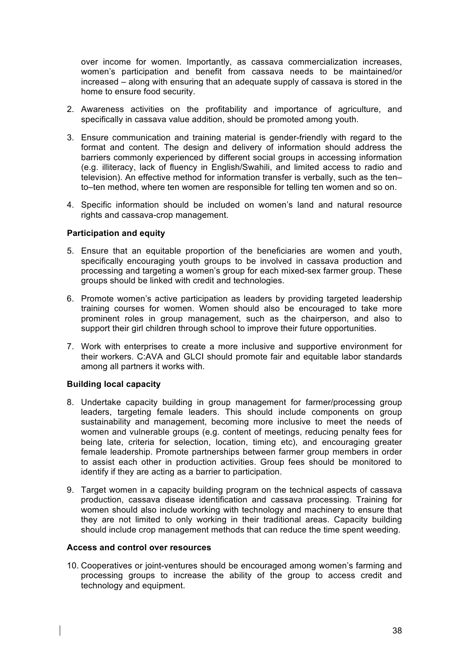over income for women. Importantly, as cassava commercialization increases, women's participation and benefit from cassava needs to be maintained/or increased – along with ensuring that an adequate supply of cassava is stored in the home to ensure food security.

- 2. Awareness activities on the profitability and importance of agriculture, and specifically in cassava value addition, should be promoted among youth.
- 3. Ensure communication and training material is gender-friendly with regard to the format and content. The design and delivery of information should address the barriers commonly experienced by different social groups in accessing information (e.g. illiteracy, lack of fluency in English/Swahili, and limited access to radio and television). An effective method for information transfer is verbally, such as the ten– to–ten method, where ten women are responsible for telling ten women and so on.
- 4. Specific information should be included on women's land and natural resource rights and cassava-crop management.

#### **Participation and equity**

- 5. Ensure that an equitable proportion of the beneficiaries are women and youth, specifically encouraging youth groups to be involved in cassava production and processing and targeting a women's group for each mixed-sex farmer group. These groups should be linked with credit and technologies.
- 6. Promote women's active participation as leaders by providing targeted leadership training courses for women. Women should also be encouraged to take more prominent roles in group management, such as the chairperson, and also to support their girl children through school to improve their future opportunities.
- 7. Work with enterprises to create a more inclusive and supportive environment for their workers. C:AVA and GLCI should promote fair and equitable labor standards among all partners it works with.

#### **Building local capacity**

- 8. Undertake capacity building in group management for farmer/processing group leaders, targeting female leaders. This should include components on group sustainability and management, becoming more inclusive to meet the needs of women and vulnerable groups (e.g. content of meetings, reducing penalty fees for being late, criteria for selection, location, timing etc), and encouraging greater female leadership. Promote partnerships between farmer group members in order to assist each other in production activities. Group fees should be monitored to identify if they are acting as a barrier to participation.
- 9. Target women in a capacity building program on the technical aspects of cassava production, cassava disease identification and cassava processing. Training for women should also include working with technology and machinery to ensure that they are not limited to only working in their traditional areas. Capacity building should include crop management methods that can reduce the time spent weeding.

#### **Access and control over resources**

10. Cooperatives or joint-ventures should be encouraged among women's farming and processing groups to increase the ability of the group to access credit and technology and equipment.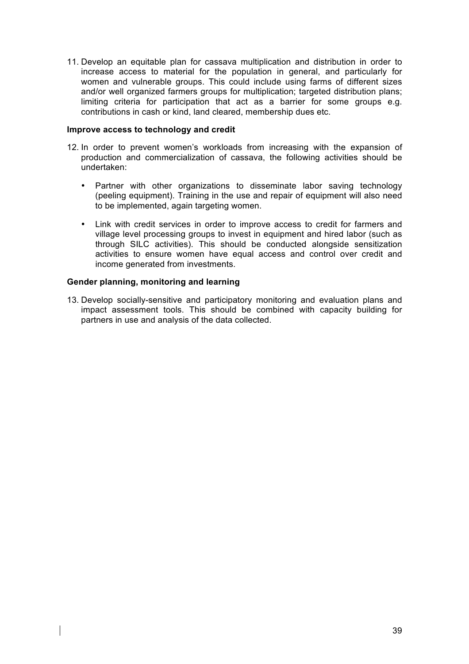11. Develop an equitable plan for cassava multiplication and distribution in order to increase access to material for the population in general, and particularly for women and vulnerable groups. This could include using farms of different sizes and/or well organized farmers groups for multiplication; targeted distribution plans; limiting criteria for participation that act as a barrier for some groups e.g. contributions in cash or kind, land cleared, membership dues etc.

#### **Improve access to technology and credit**

- 12. In order to prevent women's workloads from increasing with the expansion of production and commercialization of cassava, the following activities should be undertaken:
	- Partner with other organizations to disseminate labor saving technology (peeling equipment). Training in the use and repair of equipment will also need to be implemented, again targeting women.
	- Link with credit services in order to improve access to credit for farmers and village level processing groups to invest in equipment and hired labor (such as through SILC activities). This should be conducted alongside sensitization activities to ensure women have equal access and control over credit and income generated from investments.

## **Gender planning, monitoring and learning**

13. Develop socially-sensitive and participatory monitoring and evaluation plans and impact assessment tools. This should be combined with capacity building for partners in use and analysis of the data collected.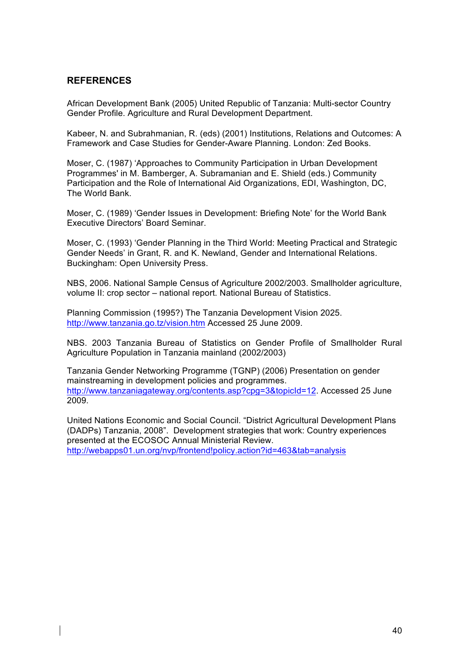# **REFERENCES**

African Development Bank (2005) United Republic of Tanzania: Multi-sector Country Gender Profile. Agriculture and Rural Development Department.

Kabeer, N. and Subrahmanian, R. (eds) (2001) Institutions, Relations and Outcomes: A Framework and Case Studies for Gender-Aware Planning. London: Zed Books.

Moser, C. (1987) 'Approaches to Community Participation in Urban Development Programmes' in M. Bamberger, A. Subramanian and E. Shield (eds.) Community Participation and the Role of International Aid Organizations, EDI, Washington, DC, The World Bank.

Moser, C. (1989) 'Gender Issues in Development: Briefing Note' for the World Bank Executive Directors' Board Seminar.

Moser, C. (1993) 'Gender Planning in the Third World: Meeting Practical and Strategic Gender Needs' in Grant, R. and K. Newland, Gender and International Relations. Buckingham: Open University Press.

NBS, 2006. National Sample Census of Agriculture 2002/2003. Smallholder agriculture, volume II: crop sector – national report. National Bureau of Statistics.

Planning Commission (1995?) The Tanzania Development Vision 2025. http://www.tanzania.go.tz/vision.htm Accessed 25 June 2009.

NBS. 2003 Tanzania Bureau of Statistics on Gender Profile of Smallholder Rural Agriculture Population in Tanzania mainland (2002/2003)

Tanzania Gender Networking Programme (TGNP) (2006) Presentation on gender mainstreaming in development policies and programmes. http://www.tanzaniagateway.org/contents.asp?cpg=3&topicId=12. Accessed 25 June 2009.

United Nations Economic and Social Council. "District Agricultural Development Plans (DADPs) Tanzania, 2008". Development strategies that work: Country experiences presented at the ECOSOC Annual Ministerial Review. http://webapps01.un.org/nvp/frontend!policy.action?id=463&tab=analysis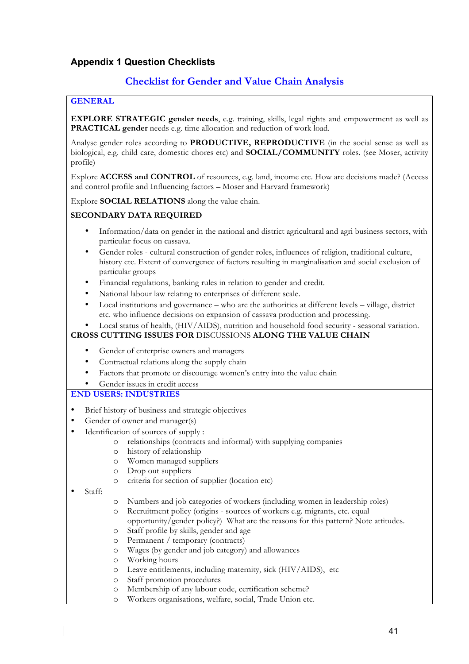# **Appendix 1 Question Checklists**

# **Checklist for Gender and Value Chain Analysis**

## **GENERAL**

**EXPLORE STRATEGIC gender needs**, e.g. training, skills, legal rights and empowerment as well as **PRACTICAL gender** needs e.g. time allocation and reduction of work load.

Analyse gender roles according to **PRODUCTIVE, REPRODUCTIVE** (in the social sense as well as biological, e.g. child care, domestic chores etc) and **SOCIAL/COMMUNITY** roles. (see Moser, activity profile)

Explore **ACCESS and CONTROL** of resources, e.g. land, income etc. How are decisions made? (Access and control profile and Influencing factors – Moser and Harvard framework)

Explore **SOCIAL RELATIONS** along the value chain.

## **SECONDARY DATA REQUIRED**

- Information/data on gender in the national and district agricultural and agri business sectors, with particular focus on cassava.
- Gender roles cultural construction of gender roles, influences of religion, traditional culture, history etc. Extent of convergence of factors resulting in marginalisation and social exclusion of particular groups
- Financial regulations, banking rules in relation to gender and credit.
- National labour law relating to enterprises of different scale.
- Local institutions and governance who are the authorities at different levels village, district etc. who influence decisions on expansion of cassava production and processing.

• Local status of health, (HIV/AIDS), nutrition and household food security - seasonal variation. **CROSS CUTTING ISSUES FOR** DISCUSSIONS **ALONG THE VALUE CHAIN**

- Gender of enterprise owners and managers
- Contractual relations along the supply chain
- Factors that promote or discourage women's entry into the value chain
- Gender issues in credit access

## **END USERS: INDUSTRIES**

- Brief history of business and strategic objectives
- Gender of owner and manager(s)
- Identification of sources of supply :
	- o relationships (contracts and informal) with supplying companies
	- o history of relationship
	- o Women managed suppliers
	- o Drop out suppliers
	- o criteria for section of supplier (location etc)
- Staff:
- o Numbers and job categories of workers (including women in leadership roles)
- o Recruitment policy (origins sources of workers e.g. migrants, etc. equal opportunity/gender policy?) What are the reasons for this pattern? Note attitudes.
- o Staff profile by skills, gender and age
- o Permanent / temporary (contracts)
- o Wages (by gender and job category) and allowances
- o Working hours
- o Leave entitlements, including maternity, sick (HIV/AIDS), etc
- o Staff promotion procedures
- o Membership of any labour code, certification scheme?
- o Workers organisations, welfare, social, Trade Union etc.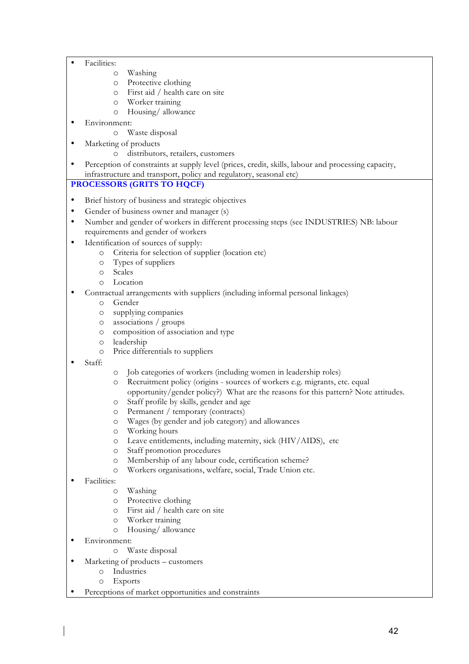- Facilities:
	- o Washing
	- o Protective clothing
	- o First aid / health care on site
	- o Worker training
	- o Housing/ allowance
- Environment:
	- o Waste disposal
- Marketing of products
	- o distributors, retailers, customers
- Perception of constraints at supply level (prices, credit, skills, labour and processing capacity, infrastructure and transport, policy and regulatory, seasonal etc)

#### **PROCESSORS (GRITS TO HQCF)**

- Brief history of business and strategic objectives
- Gender of business owner and manager (s)
- Number and gender of workers in different processing steps (see INDUSTRIES) NB: labour requirements and gender of workers
- Identification of sources of supply:
	- o Criteria for selection of supplier (location etc)
	- o Types of suppliers
	- o Scales
	- o Location
- Contractual arrangements with suppliers (including informal personal linkages)
	- o Gender
	- o supplying companies
	- o associations / groups
	- o composition of association and type
	- o leadership
	- o Price differentials to suppliers
- Staff:
- o Job categories of workers (including women in leadership roles)
- o Recruitment policy (origins sources of workers e.g. migrants, etc. equal opportunity/gender policy?) What are the reasons for this pattern? Note attitudes.
- o Staff profile by skills, gender and age
- o Permanent / temporary (contracts)
- o Wages (by gender and job category) and allowances
- o Working hours
- o Leave entitlements, including maternity, sick (HIV/AIDS), etc
- o Staff promotion procedures
- o Membership of any labour code, certification scheme?
- o Workers organisations, welfare, social, Trade Union etc.
- Facilities:
	- o Washing
	- o Protective clothing
	- o First aid / health care on site
	- o Worker training
	- o Housing/ allowance
- Environment:
	- o Waste disposal
- Marketing of products customers
	- o Industries
	- o Exports
- Perceptions of market opportunities and constraints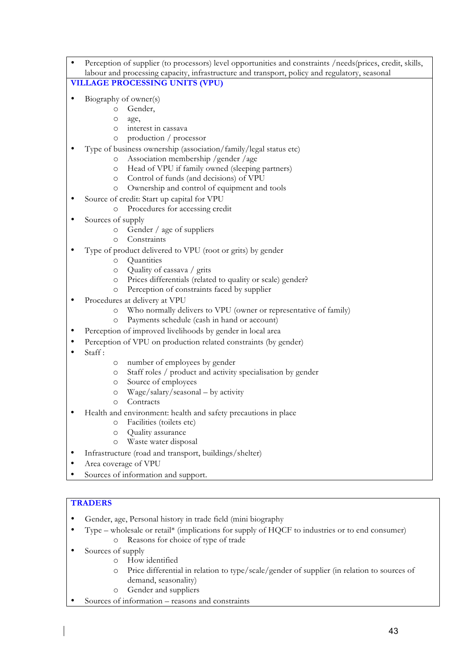- Perception of supplier (to processors) level opportunities and constraints /needs(prices, credit, skills, labour and processing capacity, infrastructure and transport, policy and regulatory, seasonal **VILLAGE PROCESSING UNITS (VPU)**
- Biography of owner(s)
	- o Gender,
	- o age,
	- o interest in cassava
	- o production / processor
	- Type of business ownership (association/family/legal status etc)
		- o Association membership /gender /age
		- o Head of VPU if family owned (sleeping partners)
		- o Control of funds (and decisions) of VPU
		- o Ownership and control of equipment and tools
- Source of credit: Start up capital for VPU
	- o Procedures for accessing credit
- Sources of supply
	- o Gender / age of suppliers
	- o Constraints
- Type of product delivered to VPU (root or grits) by gender
	- o Quantities
	- o Quality of cassava / grits
	- o Prices differentials (related to quality or scale) gender?
	- o Perception of constraints faced by supplier
- Procedures at delivery at VPU
	- o Who normally delivers to VPU (owner or representative of family)
	- o Payments schedule (cash in hand or account)
- Perception of improved livelihoods by gender in local area
- Perception of VPU on production related constraints (by gender)
- $Staff \cdot$
- o number of employees by gender
- o Staff roles / product and activity specialisation by gender
- o Source of employees
- o Wage/salary/seasonal by activity
- o Contracts
- Health and environment: health and safety precautions in place
	- o Facilities (toilets etc)
	- o Quality assurance
	- o Waste water disposal
- Infrastructure (road and transport, buildings/shelter)
- Area coverage of VPU
- Sources of information and support.

#### **TRADERS**

- Gender, age, Personal history in trade field (mini biography
- Type wholesale or retail\* (implications for supply of HQCF to industries or to end consumer) o Reasons for choice of type of trade
- Sources of supply
	- o How identified
	- o Price differential in relation to type/scale/gender of supplier (in relation to sources of demand, seasonality)
	- o Gender and suppliers
- Sources of information reasons and constraints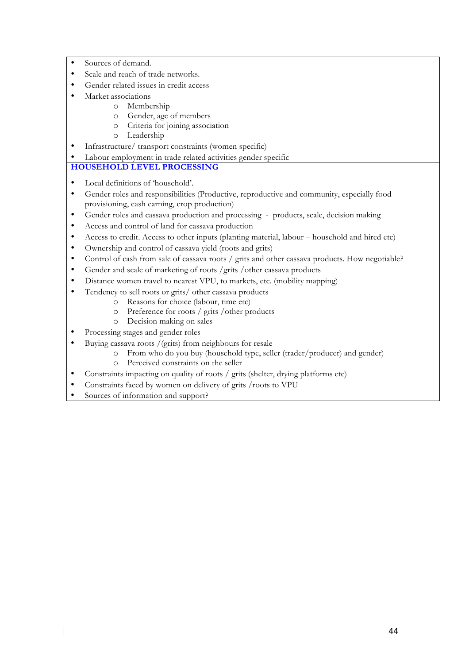- Sources of demand.
- Scale and reach of trade networks.
- Gender related issues in credit access
- Market associations
	- o Membership
		- o Gender, age of members
		- o Criteria for joining association
	- o Leadership
- Infrastructure/ transport constraints (women specific)
- Labour employment in trade related activities gender specific

## **HOUSEHOLD LEVEL PROCESSING**

- Local definitions of 'household'.
- Gender roles and responsibilities (Productive, reproductive and community, especially food provisioning, cash earning, crop production)
- Gender roles and cassava production and processing products, scale, decision making
- Access and control of land for cassava production
- Access to credit. Access to other inputs (planting material, labour household and hired etc)
- Ownership and control of cassava yield (roots and grits)
- Control of cash from sale of cassava roots / grits and other cassava products. How negotiable?
- Gender and scale of marketing of roots /grits /other cassava products
- Distance women travel to nearest VPU, to markets, etc. (mobility mapping)
- Tendency to sell roots or grits/ other cassava products
	- o Reasons for choice (labour, time etc)
	- o Preference for roots / grits /other products
	- o Decision making on sales
- Processing stages and gender roles
- Buying cassava roots /(grits) from neighbours for resale
	- o From who do you buy (household type, seller (trader/producer) and gender)
	- o Perceived constraints on the seller
- Constraints impacting on quality of roots / grits (shelter, drying platforms etc)
- Constraints faced by women on delivery of grits /roots to VPU
- Sources of information and support?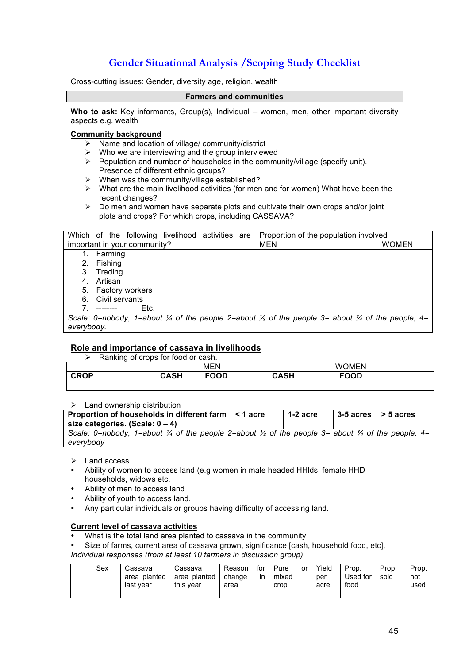# **Gender Situational Analysis /Scoping Study Checklist**

Cross-cutting issues: Gender, diversity age, religion, wealth

#### **Farmers and communities**

**Who to ask:** Key informants, Group(s), Individual – women, men, other important diversity aspects e.g. wealth

#### **Community background**

- Name and location of village/ community/district
- $\triangleright$  Who we are interviewing and the group interviewed
- $\triangleright$  Population and number of households in the community/village (specify unit). Presence of different ethnic groups?
- $\triangleright$  When was the community/village established?
- $\triangleright$  What are the main livelihood activities (for men and for women) What have been the recent changes?
- $\triangleright$  Do men and women have separate plots and cultivate their own crops and/or joint plots and crops? For which crops, including CASSAVA?

| Which of the following livelihood activities are<br>Proportion of the population involved     |              |  |  |  |
|-----------------------------------------------------------------------------------------------|--------------|--|--|--|
| important in your community?                                                                  | MEN<br>WOMEN |  |  |  |
| Farming<br>1.                                                                                 |              |  |  |  |
| Fishing<br>2.                                                                                 |              |  |  |  |
| Trading<br>3.                                                                                 |              |  |  |  |
| Artisan<br>4.                                                                                 |              |  |  |  |
| 5. Factory workers                                                                            |              |  |  |  |
| Civil servants<br>6.                                                                          |              |  |  |  |
| Etc.                                                                                          |              |  |  |  |
| Scale: 0=nobody, 1=about ¼ of the people 2=about ½ of the people 3= about ¼ of the people, 4= |              |  |  |  |
| everybody.                                                                                    |              |  |  |  |

#### **Role and importance of cassava in livelihoods**

 $\triangleright$  Ranking of crops for food or cash.

|             |             | . <i>.</i><br>M<br>ΕN | <b>WOMEN</b>                |  |  |
|-------------|-------------|-----------------------|-----------------------------|--|--|
| <b>CROP</b> | CACU<br>чәп | FOOD                  | <b>FOOD</b><br>CACU<br>лат. |  |  |
|             |             |                       |                             |  |  |

#### Land ownership distribution

| Proportion of households in different farm $\vert$ < 1 acre<br>size categories. (Scale: $0 - 4$ )          | $1-2$ acre | $ 3-5$ acres $ >5$ acres |  |
|------------------------------------------------------------------------------------------------------------|------------|--------------------------|--|
| Scale: 0=nobody, 1=about ¼ of the people 2=about ½ of the people 3= about ¾ of the people, 4=<br>everybody |            |                          |  |

#### > Land access

- Ability of women to access land (e.g women in male headed HHlds, female HHD households, widows etc.
- Ability of men to access land
- Ability of youth to access land.
- Any particular individuals or groups having difficulty of accessing land.

#### **Current level of cassava activities**

- What is the total land area planted to cassava in the community
- Size of farms, current area of cassava grown, significance [cash, household food, etc],

*Individual responses (from at least 10 farmers in discussion group)*

| Sex | Cassava      | Cassava      | Reason | for | Pure  | or | Yield | Prop.    | Prop. | Prop. |
|-----|--------------|--------------|--------|-----|-------|----|-------|----------|-------|-------|
|     | area planted | area planted | change | in  | mixed |    | per   | Used for | sold  | not   |
|     | last vear    | this vear    | area   |     | crop  |    | acre  | food     |       | used  |
|     |              |              |        |     |       |    |       |          |       |       |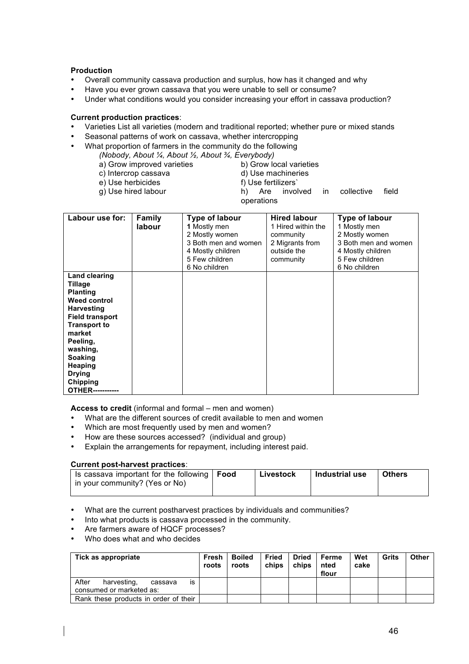#### **Production**

- Overall community cassava production and surplus, how has it changed and why
- Have you ever grown cassava that you were unable to sell or consume?<br>• Under what conditions would you consider increasing your effort in cassa
- Under what conditions would you consider increasing your effort in cassava production?

#### **Current production practices**:

- Varieties List all varieties (modern and traditional reported; whether pure or mixed stands
- Seasonal patterns of work on cassava, whether intercropping
- What proportion of farmers in the community do the following
	- *(Nobody, About ¼, About ½, About ¾, Everybody)*
		- a) Grow improved varieties b) Grow local varieties
			-
		- c) Intercrop cassava d) Use machineries<br>
		e) Use herbicides f) Use fertilizers
		- e) Use herbicides<br>g) Use hired labour
- 
- $h$ ) Are involved in collective field operations

| Labour use for:                                                                                                                                                                                                                                        | <b>Family</b><br>labour | Type of labour<br>1 Mostly men<br>2 Mostly women<br>3 Both men and women<br>4 Mostly children<br>5 Few children<br>6 No children | <b>Hired labour</b><br>1 Hired within the<br>community<br>2 Migrants from<br>outside the<br>community | Type of labour<br>1 Mostly men<br>2 Mostly women<br>3 Both men and women<br>4 Mostly children<br>5 Few children<br>6 No children |
|--------------------------------------------------------------------------------------------------------------------------------------------------------------------------------------------------------------------------------------------------------|-------------------------|----------------------------------------------------------------------------------------------------------------------------------|-------------------------------------------------------------------------------------------------------|----------------------------------------------------------------------------------------------------------------------------------|
| <b>Land clearing</b><br>Tillage<br><b>Planting</b><br>Weed control<br><b>Harvesting</b><br><b>Field transport</b><br><b>Transport to</b><br>market<br>Peeling,<br>washing,<br><b>Soaking</b><br>Heaping<br><b>Drying</b><br><b>Chipping</b><br>OTHER-- |                         |                                                                                                                                  |                                                                                                       |                                                                                                                                  |

**Access to credit** (informal and formal – men and women)

- What are the different sources of credit available to men and women
- Which are most frequently used by men and women?
- How are these sources accessed? (individual and group)<br>• Explain the arrangements for renayment including interest
- Explain the arrangements for repayment, including interest paid.

#### **Current post-harvest practices**:

| Is cassava important for the following $\vert$ Food<br>in your community? (Yes or No) | Livestock | Industrial use | <b>Others</b> |
|---------------------------------------------------------------------------------------|-----------|----------------|---------------|
|                                                                                       |           |                |               |

- What are the current postharvest practices by individuals and communities?
- Into what products is cassava processed in the community.
- Are farmers aware of HQCF processes?
- Who does what and who decides

| Tick as appropriate                                               | Fresh<br>roots | <b>Boiled</b><br>roots | Fried<br>chips | Dried<br>chips | Ferme<br>nted<br>flour | Wet<br>cake | Grits | Other |
|-------------------------------------------------------------------|----------------|------------------------|----------------|----------------|------------------------|-------------|-------|-------|
| After<br>harvesting,<br>is<br>cassava<br>consumed or marketed as: |                |                        |                |                |                        |             |       |       |
| Rank these products in order of their                             |                |                        |                |                |                        |             |       |       |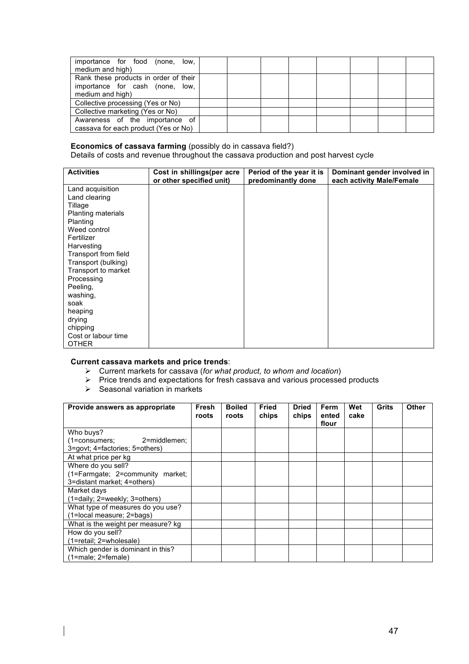| importance for food (none,<br>low.<br>medium and high) |  |  |  |  |
|--------------------------------------------------------|--|--|--|--|
| Rank these products in order of their                  |  |  |  |  |
| importance for cash (none,<br>low.                     |  |  |  |  |
| medium and high)                                       |  |  |  |  |
| Collective processing (Yes or No)                      |  |  |  |  |
| Collective marketing (Yes or No)                       |  |  |  |  |
| Awareness of the importance of                         |  |  |  |  |
| cassava for each product (Yes or No)                   |  |  |  |  |

#### **Economics of cassava farming** (possibly do in cassava field?)

Details of costs and revenue throughout the cassava production and post harvest cycle

| <b>Activities</b>         | Cost in shillings(per acre<br>or other specified unit) | Period of the year it is<br>predominantly done | Dominant gender involved in<br>each activity Male/Female |
|---------------------------|--------------------------------------------------------|------------------------------------------------|----------------------------------------------------------|
| Land acquisition          |                                                        |                                                |                                                          |
| Land clearing             |                                                        |                                                |                                                          |
| Tillage                   |                                                        |                                                |                                                          |
| <b>Planting materials</b> |                                                        |                                                |                                                          |
| Planting                  |                                                        |                                                |                                                          |
| Weed control              |                                                        |                                                |                                                          |
| Fertilizer                |                                                        |                                                |                                                          |
| Harvesting                |                                                        |                                                |                                                          |
| Transport from field      |                                                        |                                                |                                                          |
| Transport (bulking)       |                                                        |                                                |                                                          |
| Transport to market       |                                                        |                                                |                                                          |
| Processing                |                                                        |                                                |                                                          |
| Peeling,                  |                                                        |                                                |                                                          |
| washing,                  |                                                        |                                                |                                                          |
| soak                      |                                                        |                                                |                                                          |
| heaping                   |                                                        |                                                |                                                          |
| drying                    |                                                        |                                                |                                                          |
| chipping                  |                                                        |                                                |                                                          |
| Cost or labour time       |                                                        |                                                |                                                          |
| <b>OTHER</b>              |                                                        |                                                |                                                          |

## **Current cassava markets and price trends**:

- Current markets for cassava (*for what product, to whom and location*)
- $\triangleright$  Price trends and expectations for fresh cassava and various processed products
- $\triangleright$  Seasonal variation in markets

 $\overline{\phantom{a}}$ 

| Provide answers as appropriate     | Fresh<br>roots | <b>Boiled</b><br>roots | <b>Fried</b><br>chips | <b>Dried</b><br>chips | Ferm<br>ented | Wet<br>cake | Grits | Other |
|------------------------------------|----------------|------------------------|-----------------------|-----------------------|---------------|-------------|-------|-------|
|                                    |                |                        |                       |                       | flour         |             |       |       |
| Who buys?                          |                |                        |                       |                       |               |             |       |       |
| (1=consumers;<br>2=middlemen:      |                |                        |                       |                       |               |             |       |       |
| 3=govt; 4=factories; 5=others)     |                |                        |                       |                       |               |             |       |       |
| At what price per kg               |                |                        |                       |                       |               |             |       |       |
| Where do you sell?                 |                |                        |                       |                       |               |             |       |       |
| (1=Farmgate; 2=community market;   |                |                        |                       |                       |               |             |       |       |
| 3=distant market: 4=others)        |                |                        |                       |                       |               |             |       |       |
| Market days                        |                |                        |                       |                       |               |             |       |       |
| (1=daily; 2=weekly; 3=others)      |                |                        |                       |                       |               |             |       |       |
| What type of measures do you use?  |                |                        |                       |                       |               |             |       |       |
| (1=local measure; 2=bags)          |                |                        |                       |                       |               |             |       |       |
| What is the weight per measure? kg |                |                        |                       |                       |               |             |       |       |
| How do you sell?                   |                |                        |                       |                       |               |             |       |       |
| (1=retail; 2=wholesale)            |                |                        |                       |                       |               |             |       |       |
| Which gender is dominant in this?  |                |                        |                       |                       |               |             |       |       |
| $(1 = male; 2 = female)$           |                |                        |                       |                       |               |             |       |       |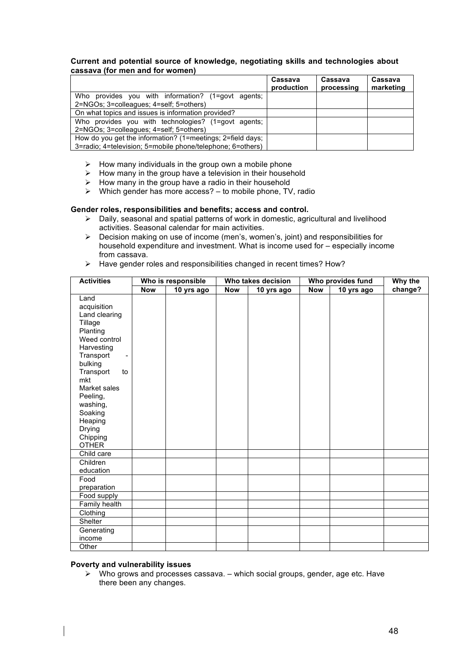#### **Current and potential source of knowledge, negotiating skills and technologies about cassava (for men and for women)**

|                                                            | Cassava<br>production | Cassava<br>processing | Cassava<br>marketing |
|------------------------------------------------------------|-----------------------|-----------------------|----------------------|
| Who provides you with information? (1=govt agents:         |                       |                       |                      |
| 2=NGOs; 3=colleagues; 4=self; 5=others)                    |                       |                       |                      |
| On what topics and issues is information provided?         |                       |                       |                      |
| Who provides you with technologies? (1=govt agents;        |                       |                       |                      |
| 2=NGOs; 3=colleagues; 4=self; 5=others)                    |                       |                       |                      |
| How do you get the information? (1=meetings; 2=field days; |                       |                       |                      |
| 3=radio: 4=television: 5=mobile phone/telephone: 6=others) |                       |                       |                      |

- $\triangleright$  How many individuals in the group own a mobile phone
- $\triangleright$  How many in the group have a television in their household
- $\triangleright$  How many in the group have a radio in their household
- $\triangleright$  Which gender has more access? to mobile phone, TV, radio

#### **Gender roles, responsibilities and benefits; access and control.**

- $\triangleright$  Daily, seasonal and spatial patterns of work in domestic, agricultural and livelihood activities. Seasonal calendar for main activities.
- $\triangleright$  Decision making on use of income (men's, women's, joint) and responsibilities for household expenditure and investment. What is income used for – especially income from cassava.
- $\triangleright$  Have gender roles and responsibilities changed in recent times? How?

| <b>Activities</b>                                                                                                                                                                                                                               |            | Who is responsible |            | Who takes decision | Who provides fund | Why the    |         |
|-------------------------------------------------------------------------------------------------------------------------------------------------------------------------------------------------------------------------------------------------|------------|--------------------|------------|--------------------|-------------------|------------|---------|
|                                                                                                                                                                                                                                                 | <b>Now</b> | 10 yrs ago         | <b>Now</b> | 10 yrs ago         | <b>Now</b>        | 10 yrs ago | change? |
| Land<br>acquisition<br>Land clearing<br>Tillage<br>Planting<br>Weed control<br>Harvesting<br>Transport<br>bulking<br>Transport<br>to<br>mkt<br>Market sales<br>Peeling,<br>washing,<br>Soaking<br>Heaping<br>Drying<br>Chipping<br><b>OTHER</b> |            |                    |            |                    |                   |            |         |
| Child care                                                                                                                                                                                                                                      |            |                    |            |                    |                   |            |         |
| Children<br>education                                                                                                                                                                                                                           |            |                    |            |                    |                   |            |         |
| Food<br>preparation                                                                                                                                                                                                                             |            |                    |            |                    |                   |            |         |
| Food supply                                                                                                                                                                                                                                     |            |                    |            |                    |                   |            |         |
| Family health                                                                                                                                                                                                                                   |            |                    |            |                    |                   |            |         |
| Clothing                                                                                                                                                                                                                                        |            |                    |            |                    |                   |            |         |
| Shelter                                                                                                                                                                                                                                         |            |                    |            |                    |                   |            |         |
| Generating<br>income                                                                                                                                                                                                                            |            |                    |            |                    |                   |            |         |
| Other                                                                                                                                                                                                                                           |            |                    |            |                    |                   |            |         |

#### **Poverty and vulnerability issues**

 $\triangleright$  Who grows and processes cassava. – which social groups, gender, age etc. Have there been any changes.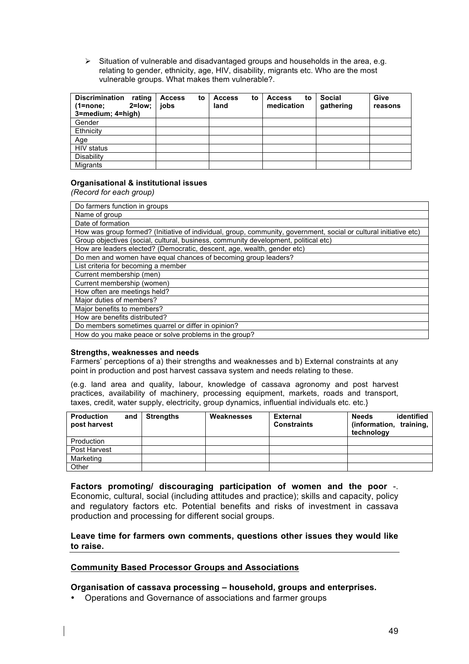$\triangleright$  Situation of vulnerable and disadvantaged groups and households in the area, e.g. relating to gender, ethnicity, age, HIV, disability, migrants etc. Who are the most vulnerable groups. What makes them vulnerable?.

| <b>Discrimination</b><br>rating<br>$2 = low$<br>(1=none;<br>3=medium; 4=high) | <b>Access</b><br>to<br>jobs | <b>Access</b><br>to<br>land | <b>Access</b><br>to<br>medication | <b>Social</b><br>gathering | Give<br>reasons |
|-------------------------------------------------------------------------------|-----------------------------|-----------------------------|-----------------------------------|----------------------------|-----------------|
| Gender                                                                        |                             |                             |                                   |                            |                 |
| Ethnicity                                                                     |                             |                             |                                   |                            |                 |
| Age                                                                           |                             |                             |                                   |                            |                 |
| HIV status                                                                    |                             |                             |                                   |                            |                 |
| Disability                                                                    |                             |                             |                                   |                            |                 |
| Migrants                                                                      |                             |                             |                                   |                            |                 |

#### **Organisational & institutional issues**

*(Record for each group)*

| Do farmers function in groups                                                                                     |  |  |  |  |
|-------------------------------------------------------------------------------------------------------------------|--|--|--|--|
| Name of group                                                                                                     |  |  |  |  |
| Date of formation                                                                                                 |  |  |  |  |
| How was group formed? (Initiative of individual, group, community, government, social or cultural initiative etc) |  |  |  |  |
| Group objectives (social, cultural, business, community development, political etc)                               |  |  |  |  |
| How are leaders elected? (Democratic, descent, age, wealth, gender etc)                                           |  |  |  |  |
| Do men and women have equal chances of becoming group leaders?                                                    |  |  |  |  |
| List criteria for becoming a member                                                                               |  |  |  |  |
| Current membership (men)                                                                                          |  |  |  |  |
| Current membership (women)                                                                                        |  |  |  |  |
| How often are meetings held?                                                                                      |  |  |  |  |
| Major duties of members?                                                                                          |  |  |  |  |
| Major benefits to members?                                                                                        |  |  |  |  |
| How are benefits distributed?                                                                                     |  |  |  |  |
| Do members sometimes quarrel or differ in opinion?                                                                |  |  |  |  |
| How do you make peace or solve problems in the group?                                                             |  |  |  |  |

#### **Strengths, weaknesses and needs**

Farmers' perceptions of a) their strengths and weaknesses and b) External constraints at any point in production and post harvest cassava system and needs relating to these.

(e.g. land area and quality, labour, knowledge of cassava agronomy and post harvest practices, availability of machinery, processing equipment, markets, roads and transport, taxes, credit, water supply, electricity, group dynamics, influential individuals etc. etc.}

| <b>Production</b><br>post harvest | and | <b>Strengths</b> | Weaknesses | <b>External</b><br><b>Constraints</b> | identified<br><b>Needs</b><br>training,<br>(information,<br>technology |
|-----------------------------------|-----|------------------|------------|---------------------------------------|------------------------------------------------------------------------|
| Production                        |     |                  |            |                                       |                                                                        |
| Post Harvest                      |     |                  |            |                                       |                                                                        |
| Marketing                         |     |                  |            |                                       |                                                                        |
| Other                             |     |                  |            |                                       |                                                                        |

**Factors promoting/ discouraging participation of women and the poor** -. Economic, cultural, social (including attitudes and practice); skills and capacity, policy and regulatory factors etc. Potential benefits and risks of investment in cassava production and processing for different social groups.

#### **Leave time for farmers own comments, questions other issues they would like to raise.**

#### **Community Based Processor Groups and Associations**

#### **Organisation of cassava processing – household, groups and enterprises.**

• Operations and Governance of associations and farmer groups